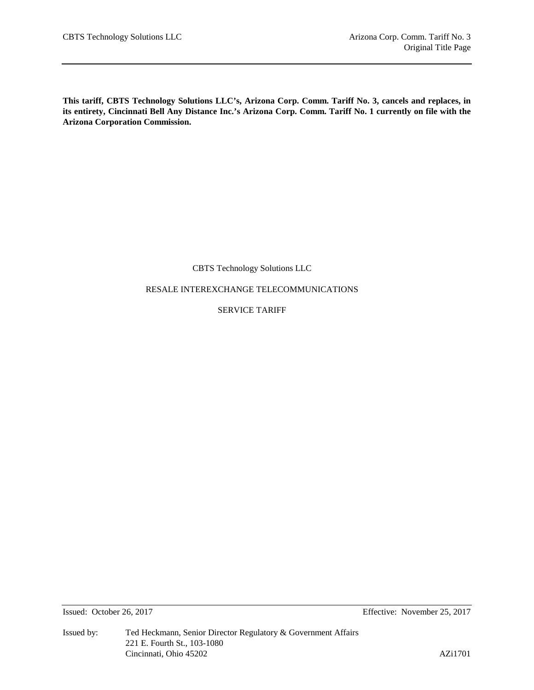**This tariff, CBTS Technology Solutions LLC's, Arizona Corp. Comm. Tariff No. 3, cancels and replaces, in its entirety, Cincinnati Bell Any Distance Inc.'s Arizona Corp. Comm. Tariff No. 1 currently on file with the Arizona Corporation Commission.**

# CBTS Technology Solutions LLC

RESALE INTEREXCHANGE TELECOMMUNICATIONS

SERVICE TARIFF

Issued: October 26, 2017 Effective: November 25, 2017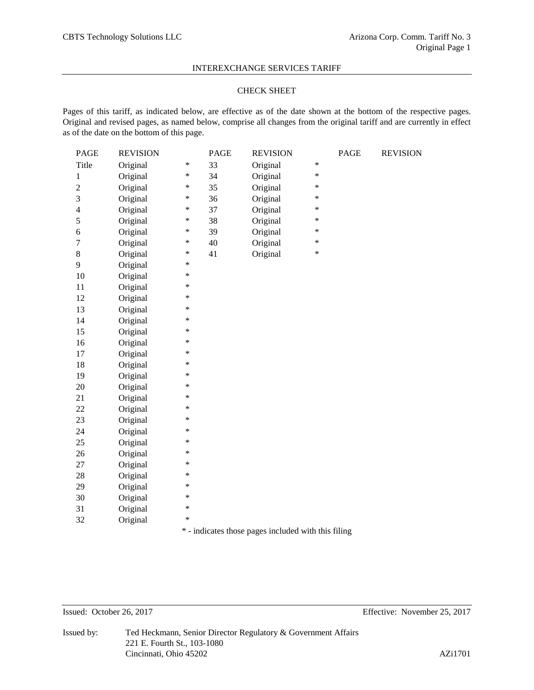## CHECK SHEET

Pages of this tariff, as indicated below, are effective as of the date shown at the bottom of the respective pages. Original and revised pages, as named below, comprise all changes from the original tariff and are currently in effect as of the date on the bottom of this page.

| PAGE           | <b>REVISION</b> |        | PAGE | <b>REVISION</b> |        | PAGE | <b>REVISION</b> |
|----------------|-----------------|--------|------|-----------------|--------|------|-----------------|
| Title          | Original        | $\ast$ | 33   | Original        | *      |      |                 |
| $\mathbf{1}$   | Original        | $\ast$ | 34   | Original        | *      |      |                 |
| $\overline{c}$ | Original        | *      | 35   | Original        | *      |      |                 |
| 3              | Original        | $\ast$ | 36   | Original        | *      |      |                 |
| 4              | Original        | $\ast$ | 37   | Original        | *      |      |                 |
| 5              | Original        | $\ast$ | 38   | Original        | *      |      |                 |
| 6              | Original        | $\ast$ | 39   | Original        | $\ast$ |      |                 |
| $\overline{7}$ | Original        | $\ast$ | 40   | Original        | $\ast$ |      |                 |
| 8              | Original        | $\ast$ | 41   | Original        | $\ast$ |      |                 |
| 9              | Original        | $\ast$ |      |                 |        |      |                 |
| 10             | Original        | $\ast$ |      |                 |        |      |                 |
| 11             | Original        | $\ast$ |      |                 |        |      |                 |
| 12             | Original        | $\ast$ |      |                 |        |      |                 |
| 13             | Original        | $\ast$ |      |                 |        |      |                 |
| 14             | Original        | $\ast$ |      |                 |        |      |                 |
| 15             | Original        | $\ast$ |      |                 |        |      |                 |
| 16             | Original        | $\ast$ |      |                 |        |      |                 |
| 17             | Original        | $\ast$ |      |                 |        |      |                 |
| 18             | Original        | $\ast$ |      |                 |        |      |                 |
| 19             | Original        | $\ast$ |      |                 |        |      |                 |
| 20             | Original        | $\ast$ |      |                 |        |      |                 |
| 21             | Original        | $\ast$ |      |                 |        |      |                 |
| 22             | Original        | $\ast$ |      |                 |        |      |                 |
| 23             | Original        | $\ast$ |      |                 |        |      |                 |
| 24             | Original        | $\ast$ |      |                 |        |      |                 |
| 25             | Original        | $\ast$ |      |                 |        |      |                 |
| 26             | Original        | *      |      |                 |        |      |                 |
| 27             | Original        | $\ast$ |      |                 |        |      |                 |
| 28             | Original        | $\ast$ |      |                 |        |      |                 |
| 29             | Original        | $\ast$ |      |                 |        |      |                 |
| 30             | Original        | $\ast$ |      |                 |        |      |                 |
| 31             | Original        | $\ast$ |      |                 |        |      |                 |
| 32             | Original        | $\ast$ |      |                 |        |      |                 |
|                |                 |        |      |                 |        |      |                 |

\* - indicates those pages included with this filing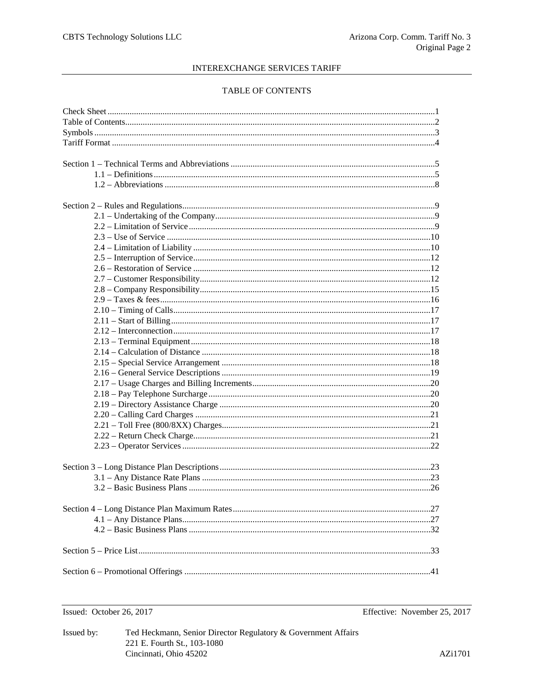## TABLE OF CONTENTS

Issued: October 26, 2017

Effective: November 25, 2017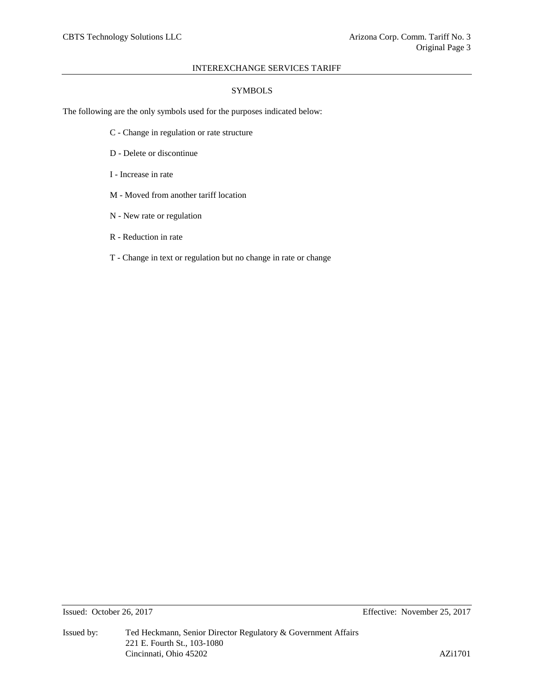## SYMBOLS

The following are the only symbols used for the purposes indicated below:

- C Change in regulation or rate structure
- D Delete or discontinue
- I Increase in rate
- M Moved from another tariff location
- N New rate or regulation
- R Reduction in rate
- T Change in text or regulation but no change in rate or change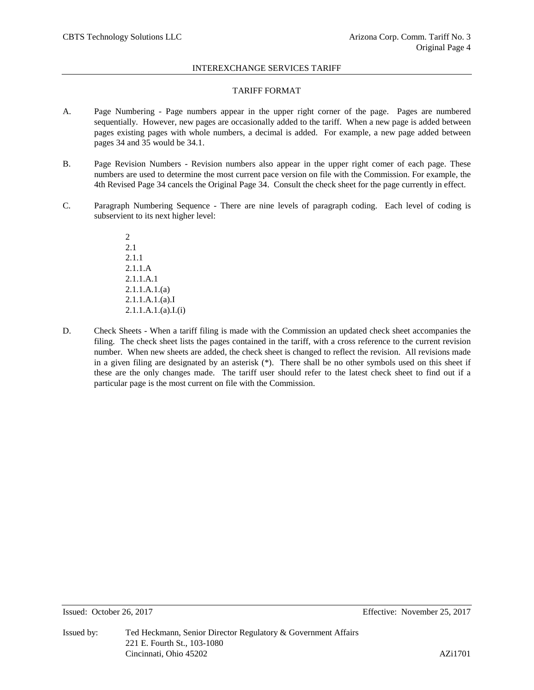## TARIFF FORMAT

- A. Page Numbering Page numbers appear in the upper right corner of the page. Pages are numbered sequentially. However, new pages are occasionally added to the tariff. When a new page is added between pages existing pages with whole numbers, a decimal is added. For example, a new page added between pages 34 and 35 would be 34.1.
- B. Page Revision Numbers Revision numbers also appear in the upper right comer of each page. These numbers are used to determine the most current pace version on file with the Commission. For example, the 4th Revised Page 34 cancels the Original Page 34. Consult the check sheet for the page currently in effect.
- C. Paragraph Numbering Sequence There are nine levels of paragraph coding. Each level of coding is subservient to its next higher level:
	- 2 2.1 2.1.1 2.1.1.A 2.1.1.A.1 2.1.1.A.1.(a) 2.1.1.A.1.(a).I  $2.1.1.A.1.(a).I.(i)$
- D. Check Sheets When a tariff filing is made with the Commission an updated check sheet accompanies the filing. The check sheet lists the pages contained in the tariff, with a cross reference to the current revision number. When new sheets are added, the check sheet is changed to reflect the revision. All revisions made in a given filing are designated by an asterisk (\*). There shall be no other symbols used on this sheet if these are the only changes made. The tariff user should refer to the latest check sheet to find out if a particular page is the most current on file with the Commission.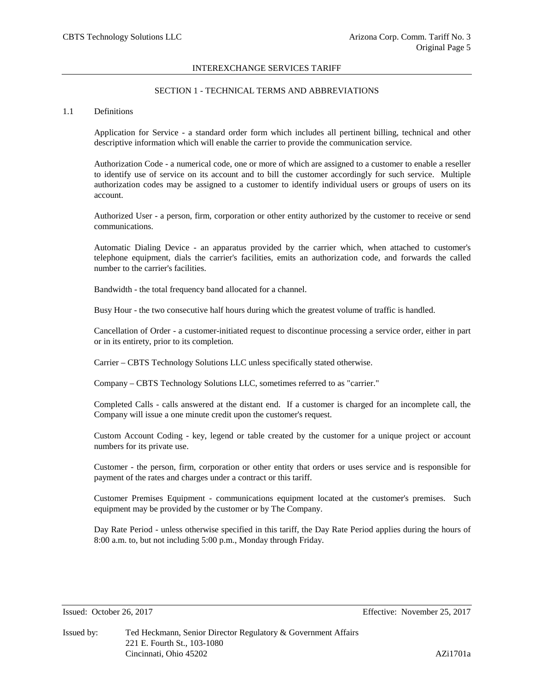# SECTION 1 - TECHNICAL TERMS AND ABBREVIATIONS

#### 1.1 Definitions

Application for Service - a standard order form which includes all pertinent billing, technical and other descriptive information which will enable the carrier to provide the communication service.

Authorization Code - a numerical code, one or more of which are assigned to a customer to enable a reseller to identify use of service on its account and to bill the customer accordingly for such service. Multiple authorization codes may be assigned to a customer to identify individual users or groups of users on its account.

Authorized User - a person, firm, corporation or other entity authorized by the customer to receive or send communications.

Automatic Dialing Device - an apparatus provided by the carrier which, when attached to customer's telephone equipment, dials the carrier's facilities, emits an authorization code, and forwards the called number to the carrier's facilities.

Bandwidth - the total frequency band allocated for a channel.

Busy Hour - the two consecutive half hours during which the greatest volume of traffic is handled.

Cancellation of Order - a customer-initiated request to discontinue processing a service order, either in part or in its entirety, prior to its completion.

Carrier – CBTS Technology Solutions LLC unless specifically stated otherwise.

Company – CBTS Technology Solutions LLC, sometimes referred to as "carrier."

Completed Calls - calls answered at the distant end. If a customer is charged for an incomplete call, the Company will issue a one minute credit upon the customer's request.

Custom Account Coding - key, legend or table created by the customer for a unique project or account numbers for its private use.

Customer - the person, firm, corporation or other entity that orders or uses service and is responsible for payment of the rates and charges under a contract or this tariff.

Customer Premises Equipment - communications equipment located at the customer's premises. Such equipment may be provided by the customer or by The Company.

Day Rate Period - unless otherwise specified in this tariff, the Day Rate Period applies during the hours of 8:00 a.m. to, but not including 5:00 p.m., Monday through Friday.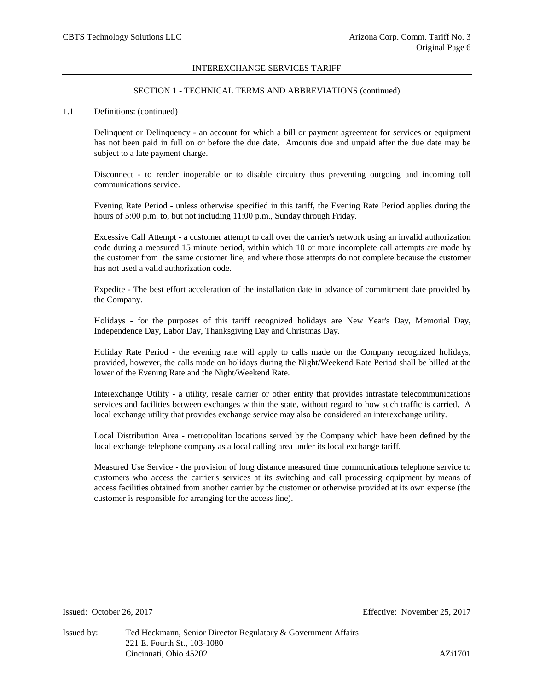## SECTION 1 - TECHNICAL TERMS AND ABBREVIATIONS (continued)

## 1.1 Definitions: (continued)

Delinquent or Delinquency - an account for which a bill or payment agreement for services or equipment has not been paid in full on or before the due date. Amounts due and unpaid after the due date may be subject to a late payment charge.

Disconnect - to render inoperable or to disable circuitry thus preventing outgoing and incoming toll communications service.

Evening Rate Period - unless otherwise specified in this tariff, the Evening Rate Period applies during the hours of 5:00 p.m. to, but not including 11:00 p.m., Sunday through Friday.

Excessive Call Attempt - a customer attempt to call over the carrier's network using an invalid authorization code during a measured 15 minute period, within which 10 or more incomplete call attempts are made by the customer from the same customer line, and where those attempts do not complete because the customer has not used a valid authorization code.

Expedite - The best effort acceleration of the installation date in advance of commitment date provided by the Company.

Holidays - for the purposes of this tariff recognized holidays are New Year's Day, Memorial Day, Independence Day, Labor Day, Thanksgiving Day and Christmas Day.

Holiday Rate Period - the evening rate will apply to calls made on the Company recognized holidays, provided, however, the calls made on holidays during the Night/Weekend Rate Period shall be billed at the lower of the Evening Rate and the Night/Weekend Rate.

Interexchange Utility - a utility, resale carrier or other entity that provides intrastate telecommunications services and facilities between exchanges within the state, without regard to how such traffic is carried. A local exchange utility that provides exchange service may also be considered an interexchange utility.

Local Distribution Area - metropolitan locations served by the Company which have been defined by the local exchange telephone company as a local calling area under its local exchange tariff.

Measured Use Service - the provision of long distance measured time communications telephone service to customers who access the carrier's services at its switching and call processing equipment by means of access facilities obtained from another carrier by the customer or otherwise provided at its own expense (the customer is responsible for arranging for the access line).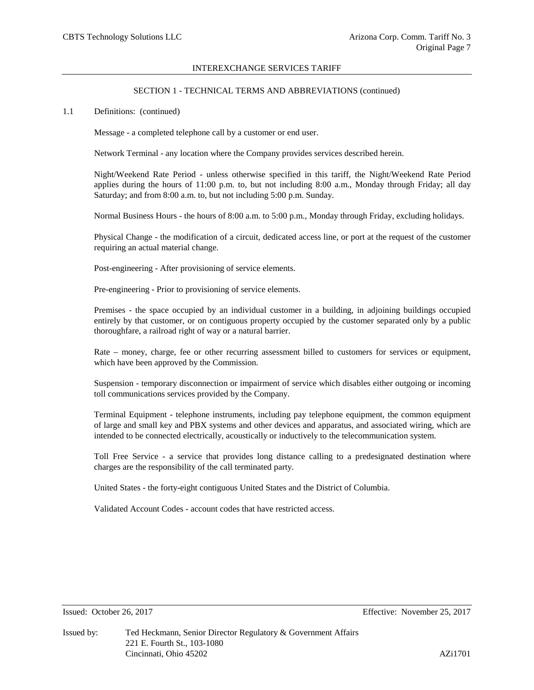## SECTION 1 - TECHNICAL TERMS AND ABBREVIATIONS (continued)

#### 1.1 Definitions: (continued)

Message - a completed telephone call by a customer or end user.

Network Terminal - any location where the Company provides services described herein.

Night/Weekend Rate Period - unless otherwise specified in this tariff, the Night/Weekend Rate Period applies during the hours of 11:00 p.m. to, but not including 8:00 a.m., Monday through Friday; all day Saturday; and from 8:00 a.m. to, but not including 5:00 p.m. Sunday.

Normal Business Hours - the hours of 8:00 a.m. to 5:00 p.m., Monday through Friday, excluding holidays.

Physical Change - the modification of a circuit, dedicated access line, or port at the request of the customer requiring an actual material change.

Post-engineering - After provisioning of service elements.

Pre-engineering - Prior to provisioning of service elements.

Premises - the space occupied by an individual customer in a building, in adjoining buildings occupied entirely by that customer, or on contiguous property occupied by the customer separated only by a public thoroughfare, a railroad right of way or a natural barrier.

Rate – money, charge, fee or other recurring assessment billed to customers for services or equipment, which have been approved by the Commission.

Suspension - temporary disconnection or impairment of service which disables either outgoing or incoming toll communications services provided by the Company.

Terminal Equipment - telephone instruments, including pay telephone equipment, the common equipment of large and small key and PBX systems and other devices and apparatus, and associated wiring, which are intended to be connected electrically, acoustically or inductively to the telecommunication system.

Toll Free Service - a service that provides long distance calling to a predesignated destination where charges are the responsibility of the call terminated party.

United States - the forty-eight contiguous United States and the District of Columbia.

Validated Account Codes - account codes that have restricted access.

Issued: October 26, 2017 Effective: November 25, 2017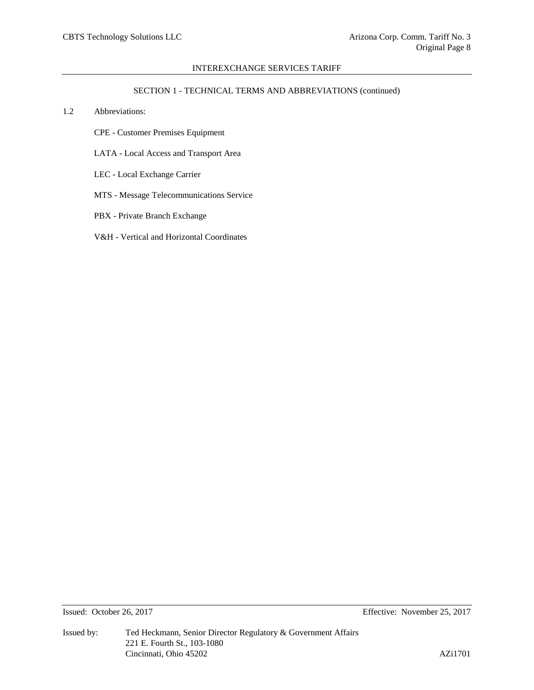## SECTION 1 - TECHNICAL TERMS AND ABBREVIATIONS (continued)

- 1.2 Abbreviations:
	- CPE Customer Premises Equipment
	- LATA Local Access and Transport Area
	- LEC Local Exchange Carrier
	- MTS Message Telecommunications Service
	- PBX Private Branch Exchange
	- V&H Vertical and Horizontal Coordinates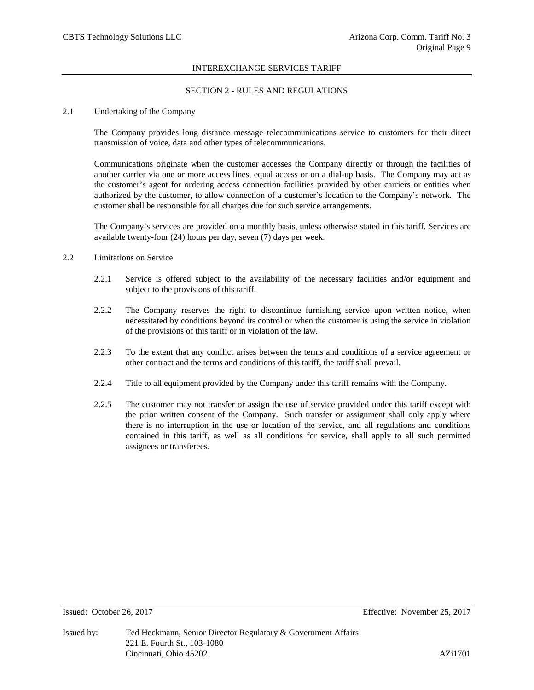## SECTION 2 - RULES AND REGULATIONS

### 2.1 Undertaking of the Company

The Company provides long distance message telecommunications service to customers for their direct transmission of voice, data and other types of telecommunications.

Communications originate when the customer accesses the Company directly or through the facilities of another carrier via one or more access lines, equal access or on a dial-up basis. The Company may act as the customer's agent for ordering access connection facilities provided by other carriers or entities when authorized by the customer, to allow connection of a customer's location to the Company's network. The customer shall be responsible for all charges due for such service arrangements.

The Company's services are provided on a monthly basis, unless otherwise stated in this tariff. Services are available twenty-four (24) hours per day, seven (7) days per week.

#### 2.2 Limitations on Service

- 2.2.1 Service is offered subject to the availability of the necessary facilities and/or equipment and subject to the provisions of this tariff.
- 2.2.2 The Company reserves the right to discontinue furnishing service upon written notice, when necessitated by conditions beyond its control or when the customer is using the service in violation of the provisions of this tariff or in violation of the law.
- 2.2.3 To the extent that any conflict arises between the terms and conditions of a service agreement or other contract and the terms and conditions of this tariff, the tariff shall prevail.
- 2.2.4 Title to all equipment provided by the Company under this tariff remains with the Company.
- 2.2.5 The customer may not transfer or assign the use of service provided under this tariff except with the prior written consent of the Company. Such transfer or assignment shall only apply where there is no interruption in the use or location of the service, and all regulations and conditions contained in this tariff, as well as all conditions for service, shall apply to all such permitted assignees or transferees.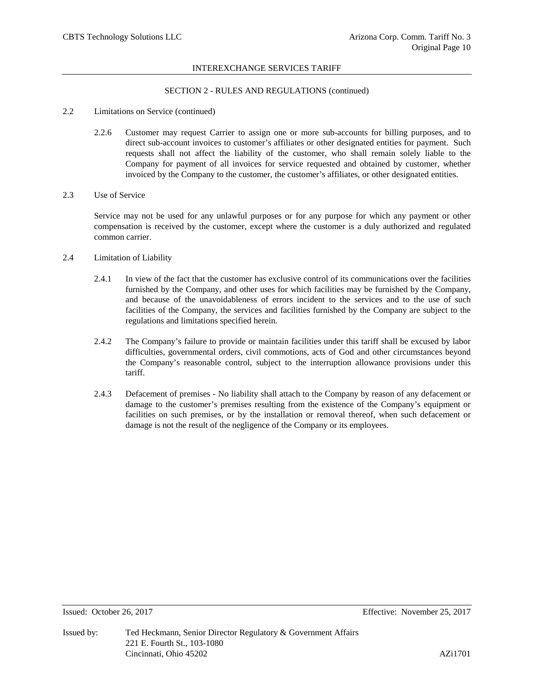## SECTION 2 - RULES AND REGULATIONS (continued)

## 2.2 Limitations on Service (continued)

2.2.6 Customer may request Carrier to assign one or more sub-accounts for billing purposes, and to direct sub-account invoices to customer's affiliates or other designated entities for payment. Such requests shall not affect the liability of the customer, who shall remain solely liable to the Company for payment of all invoices for service requested and obtained by customer, whether invoiced by the Company to the customer, the customer's affiliates, or other designated entities.

## 2.3 Use of Service

Service may not be used for any unlawful purposes or for any purpose for which any payment or other compensation is received by the customer, except where the customer is a duly authorized and regulated common carrier.

## 2.4 Limitation of Liability

- 2.4.1 In view of the fact that the customer has exclusive control of its communications over the facilities furnished by the Company, and other uses for which facilities may be furnished by the Company, and because of the unavoidableness of errors incident to the services and to the use of such facilities of the Company, the services and facilities furnished by the Company are subject to the regulations and limitations specified herein.
- 2.4.2 The Company's failure to provide or maintain facilities under this tariff shall be excused by labor difficulties, governmental orders, civil commotions, acts of God and other circumstances beyond the Company's reasonable control, subject to the interruption allowance provisions under this tariff.
- 2.4.3 Defacement of premises No liability shall attach to the Company by reason of any defacement or damage to the customer's premises resulting from the existence of the Company's equipment or facilities on such premises, or by the installation or removal thereof, when such defacement or damage is not the result of the negligence of the Company or its employees.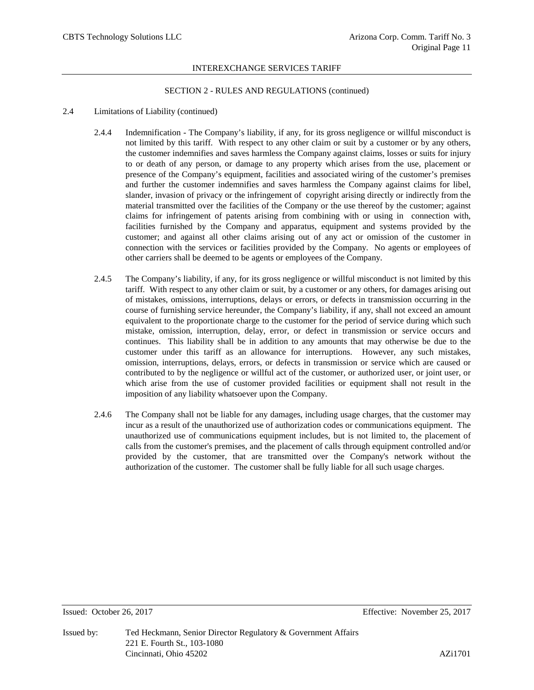#### SECTION 2 - RULES AND REGULATIONS (continued)

## 2.4 Limitations of Liability (continued)

- 2.4.4 Indemnification The Company's liability, if any, for its gross negligence or willful misconduct is not limited by this tariff. With respect to any other claim or suit by a customer or by any others, the customer indemnifies and saves harmless the Company against claims, losses or suits for injury to or death of any person, or damage to any property which arises from the use, placement or presence of the Company's equipment, facilities and associated wiring of the customer's premises and further the customer indemnifies and saves harmless the Company against claims for libel, slander, invasion of privacy or the infringement of copyright arising directly or indirectly from the material transmitted over the facilities of the Company or the use thereof by the customer; against claims for infringement of patents arising from combining with or using in connection with, facilities furnished by the Company and apparatus, equipment and systems provided by the customer; and against all other claims arising out of any act or omission of the customer in connection with the services or facilities provided by the Company. No agents or employees of other carriers shall be deemed to be agents or employees of the Company.
- 2.4.5 The Company's liability, if any, for its gross negligence or willful misconduct is not limited by this tariff. With respect to any other claim or suit, by a customer or any others, for damages arising out of mistakes, omissions, interruptions, delays or errors, or defects in transmission occurring in the course of furnishing service hereunder, the Company's liability, if any, shall not exceed an amount equivalent to the proportionate charge to the customer for the period of service during which such mistake, omission, interruption, delay, error, or defect in transmission or service occurs and continues. This liability shall be in addition to any amounts that may otherwise be due to the customer under this tariff as an allowance for interruptions. However, any such mistakes, omission, interruptions, delays, errors, or defects in transmission or service which are caused or contributed to by the negligence or willful act of the customer, or authorized user, or joint user, or which arise from the use of customer provided facilities or equipment shall not result in the imposition of any liability whatsoever upon the Company.
- 2.4.6 The Company shall not be liable for any damages, including usage charges, that the customer may incur as a result of the unauthorized use of authorization codes or communications equipment. The unauthorized use of communications equipment includes, but is not limited to, the placement of calls from the customer's premises, and the placement of calls through equipment controlled and/or provided by the customer, that are transmitted over the Company's network without the authorization of the customer. The customer shall be fully liable for all such usage charges.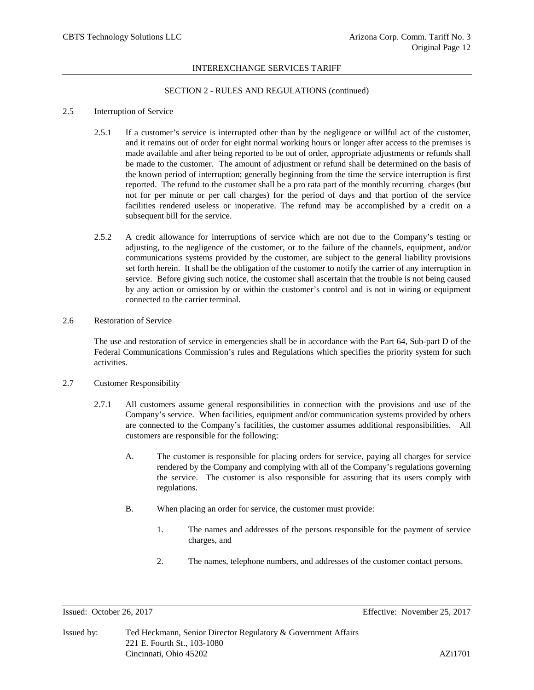## SECTION 2 - RULES AND REGULATIONS (continued)

## 2.5 Interruption of Service

- 2.5.1 If a customer's service is interrupted other than by the negligence or willful act of the customer, and it remains out of order for eight normal working hours or longer after access to the premises is made available and after being reported to be out of order, appropriate adjustments or refunds shall be made to the customer. The amount of adjustment or refund shall be determined on the basis of the known period of interruption; generally beginning from the time the service interruption is first reported. The refund to the customer shall be a pro rata part of the monthly recurring charges (but not for per minute or per call charges) for the period of days and that portion of the service facilities rendered useless or inoperative. The refund may be accomplished by a credit on a subsequent bill for the service.
- 2.5.2 A credit allowance for interruptions of service which are not due to the Company's testing or adjusting, to the negligence of the customer, or to the failure of the channels, equipment, and/or communications systems provided by the customer, are subject to the general liability provisions set forth herein. It shall be the obligation of the customer to notify the carrier of any interruption in service. Before giving such notice, the customer shall ascertain that the trouble is not being caused by any action or omission by or within the customer's control and is not in wiring or equipment connected to the carrier terminal.

## 2.6 Restoration of Service

The use and restoration of service in emergencies shall be in accordance with the Part 64, Sub-part D of the Federal Communications Commission's rules and Regulations which specifies the priority system for such activities.

# 2.7 Customer Responsibility

- 2.7.1 All customers assume general responsibilities in connection with the provisions and use of the Company's service. When facilities, equipment and/or communication systems provided by others are connected to the Company's facilities, the customer assumes additional responsibilities. All customers are responsible for the following:
	- A. The customer is responsible for placing orders for service, paying all charges for service rendered by the Company and complying with all of the Company's regulations governing the service. The customer is also responsible for assuring that its users comply with regulations.
	- B. When placing an order for service, the customer must provide:
		- 1. The names and addresses of the persons responsible for the payment of service charges, and
		- 2. The names, telephone numbers, and addresses of the customer contact persons.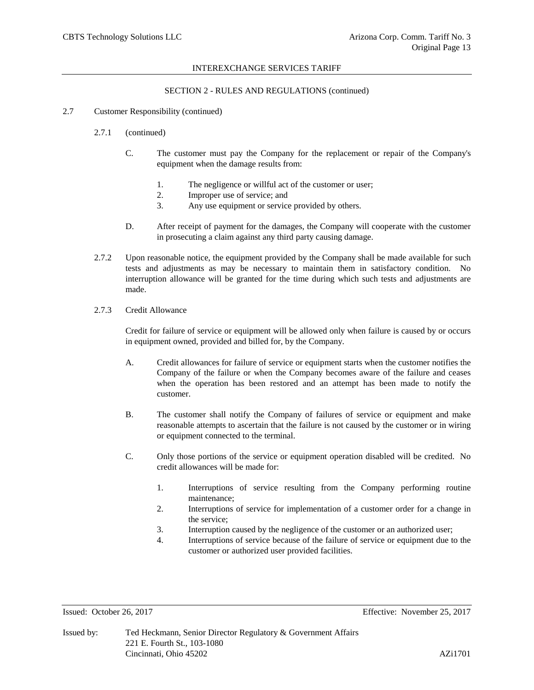## SECTION 2 - RULES AND REGULATIONS (continued)

### 2.7 Customer Responsibility (continued)

- 2.7.1 (continued)
	- C. The customer must pay the Company for the replacement or repair of the Company's equipment when the damage results from:
		- 1. The negligence or willful act of the customer or user;
		- 2. Improper use of service; and
		- 3. Any use equipment or service provided by others.
	- D. After receipt of payment for the damages, the Company will cooperate with the customer in prosecuting a claim against any third party causing damage.
- 2.7.2 Upon reasonable notice, the equipment provided by the Company shall be made available for such tests and adjustments as may be necessary to maintain them in satisfactory condition. No interruption allowance will be granted for the time during which such tests and adjustments are made.
- 2.7.3 Credit Allowance

Credit for failure of service or equipment will be allowed only when failure is caused by or occurs in equipment owned, provided and billed for, by the Company.

- A. Credit allowances for failure of service or equipment starts when the customer notifies the Company of the failure or when the Company becomes aware of the failure and ceases when the operation has been restored and an attempt has been made to notify the customer.
- B. The customer shall notify the Company of failures of service or equipment and make reasonable attempts to ascertain that the failure is not caused by the customer or in wiring or equipment connected to the terminal.
- C. Only those portions of the service or equipment operation disabled will be credited. No credit allowances will be made for:
	- 1. Interruptions of service resulting from the Company performing routine maintenance;
	- 2. Interruptions of service for implementation of a customer order for a change in the service;
	- 3. Interruption caused by the negligence of the customer or an authorized user;
	- 4. Interruptions of service because of the failure of service or equipment due to the customer or authorized user provided facilities.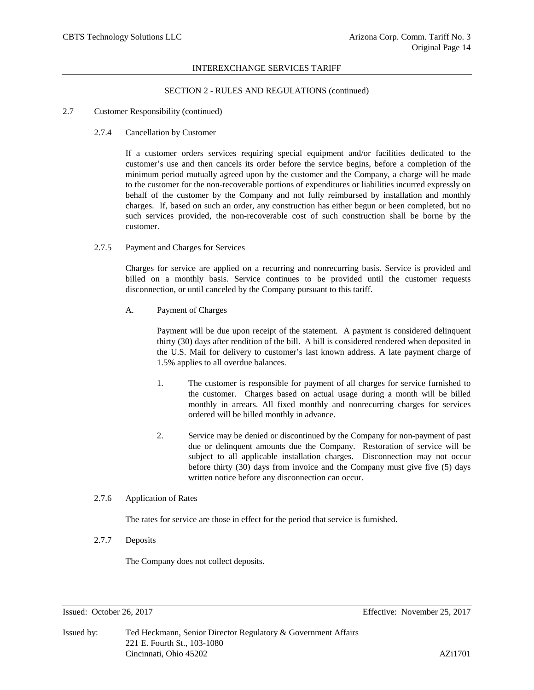## SECTION 2 - RULES AND REGULATIONS (continued)

#### 2.7 Customer Responsibility (continued)

#### 2.7.4 Cancellation by Customer

If a customer orders services requiring special equipment and/or facilities dedicated to the customer's use and then cancels its order before the service begins, before a completion of the minimum period mutually agreed upon by the customer and the Company, a charge will be made to the customer for the non-recoverable portions of expenditures or liabilities incurred expressly on behalf of the customer by the Company and not fully reimbursed by installation and monthly charges. If, based on such an order, any construction has either begun or been completed, but no such services provided, the non-recoverable cost of such construction shall be borne by the customer.

#### 2.7.5 Payment and Charges for Services

Charges for service are applied on a recurring and nonrecurring basis. Service is provided and billed on a monthly basis. Service continues to be provided until the customer requests disconnection, or until canceled by the Company pursuant to this tariff.

A. Payment of Charges

Payment will be due upon receipt of the statement. A payment is considered delinquent thirty (30) days after rendition of the bill. A bill is considered rendered when deposited in the U.S. Mail for delivery to customer's last known address. A late payment charge of 1.5% applies to all overdue balances.

- 1. The customer is responsible for payment of all charges for service furnished to the customer. Charges based on actual usage during a month will be billed monthly in arrears. All fixed monthly and nonrecurring charges for services ordered will be billed monthly in advance.
- 2. Service may be denied or discontinued by the Company for non-payment of past due or delinquent amounts due the Company. Restoration of service will be subject to all applicable installation charges. Disconnection may not occur before thirty (30) days from invoice and the Company must give five (5) days written notice before any disconnection can occur.

## 2.7.6 Application of Rates

The rates for service are those in effect for the period that service is furnished.

2.7.7 Deposits

The Company does not collect deposits.

Issued: October 26, 2017 Effective: November 25, 2017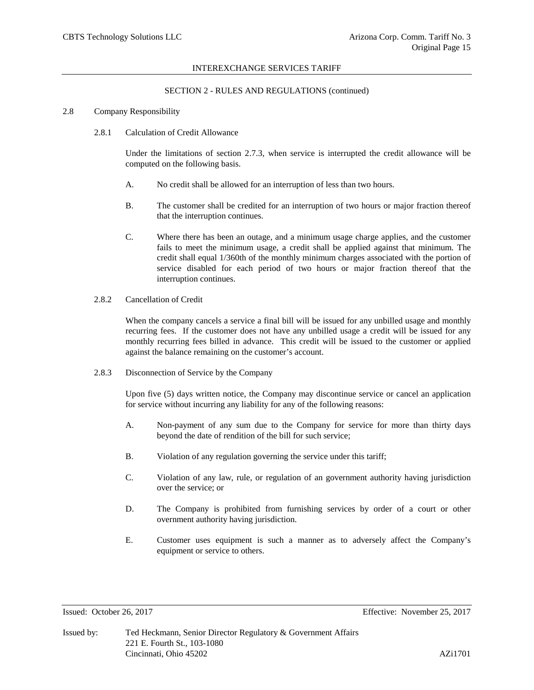#### SECTION 2 - RULES AND REGULATIONS (continued)

#### 2.8 Company Responsibility

2.8.1 Calculation of Credit Allowance

Under the limitations of section 2.7.3, when service is interrupted the credit allowance will be computed on the following basis.

- A. No credit shall be allowed for an interruption of less than two hours.
- B. The customer shall be credited for an interruption of two hours or major fraction thereof that the interruption continues.
- C. Where there has been an outage, and a minimum usage charge applies, and the customer fails to meet the minimum usage, a credit shall be applied against that minimum. The credit shall equal 1/360th of the monthly minimum charges associated with the portion of service disabled for each period of two hours or major fraction thereof that the interruption continues.
- 2.8.2 Cancellation of Credit

When the company cancels a service a final bill will be issued for any unbilled usage and monthly recurring fees. If the customer does not have any unbilled usage a credit will be issued for any monthly recurring fees billed in advance. This credit will be issued to the customer or applied against the balance remaining on the customer's account.

2.8.3 Disconnection of Service by the Company

Upon five (5) days written notice, the Company may discontinue service or cancel an application for service without incurring any liability for any of the following reasons:

- A. Non-payment of any sum due to the Company for service for more than thirty days beyond the date of rendition of the bill for such service;
- B. Violation of any regulation governing the service under this tariff;
- C. Violation of any law, rule, or regulation of an government authority having jurisdiction over the service; or
- D. The Company is prohibited from furnishing services by order of a court or other overnment authority having jurisdiction.
- E. Customer uses equipment is such a manner as to adversely affect the Company's equipment or service to others.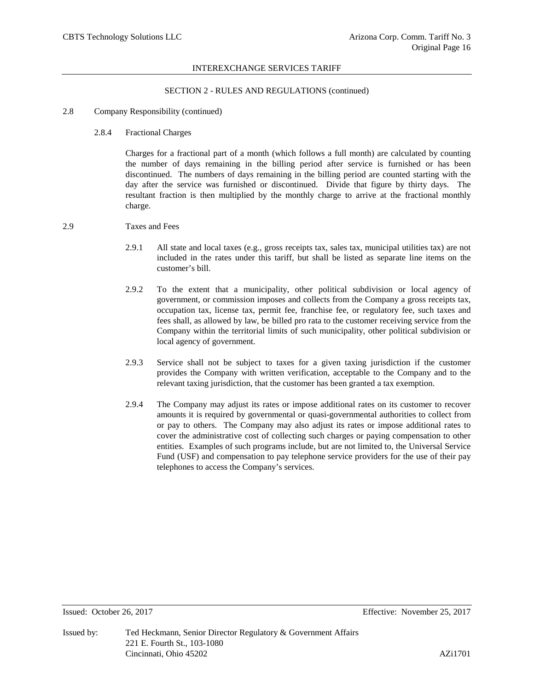### SECTION 2 - RULES AND REGULATIONS (continued)

#### 2.8 Company Responsibility (continued)

2.8.4 Fractional Charges

Charges for a fractional part of a month (which follows a full month) are calculated by counting the number of days remaining in the billing period after service is furnished or has been discontinued. The numbers of days remaining in the billing period are counted starting with the day after the service was furnished or discontinued. Divide that figure by thirty days. The resultant fraction is then multiplied by the monthly charge to arrive at the fractional monthly charge.

## 2.9 Taxes and Fees

- 2.9.1 All state and local taxes (e.g., gross receipts tax, sales tax, municipal utilities tax) are not included in the rates under this tariff, but shall be listed as separate line items on the customer's bill.
- 2.9.2 To the extent that a municipality, other political subdivision or local agency of government, or commission imposes and collects from the Company a gross receipts tax, occupation tax, license tax, permit fee, franchise fee, or regulatory fee, such taxes and fees shall, as allowed by law, be billed pro rata to the customer receiving service from the Company within the territorial limits of such municipality, other political subdivision or local agency of government.
- 2.9.3 Service shall not be subject to taxes for a given taxing jurisdiction if the customer provides the Company with written verification, acceptable to the Company and to the relevant taxing jurisdiction, that the customer has been granted a tax exemption.
- 2.9.4 The Company may adjust its rates or impose additional rates on its customer to recover amounts it is required by governmental or quasi-governmental authorities to collect from or pay to others. The Company may also adjust its rates or impose additional rates to cover the administrative cost of collecting such charges or paying compensation to other entities. Examples of such programs include, but are not limited to, the Universal Service Fund (USF) and compensation to pay telephone service providers for the use of their pay telephones to access the Company's services.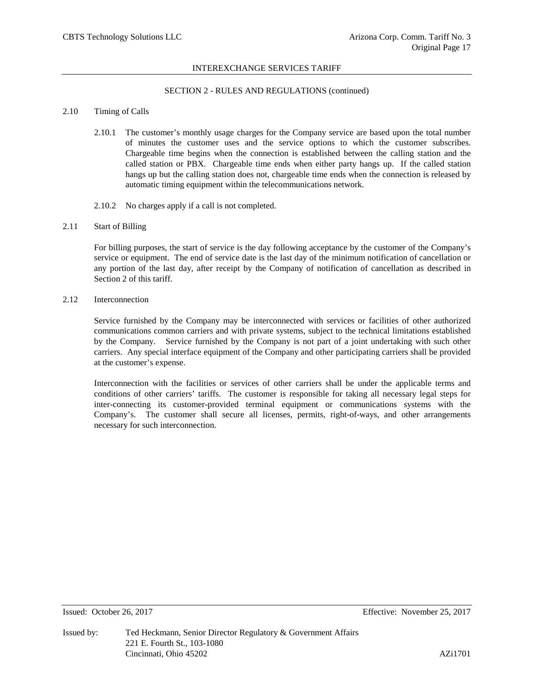## SECTION 2 - RULES AND REGULATIONS (continued)

## 2.10 Timing of Calls

- 2.10.1 The customer's monthly usage charges for the Company service are based upon the total number of minutes the customer uses and the service options to which the customer subscribes. Chargeable time begins when the connection is established between the calling station and the called station or PBX. Chargeable time ends when either party hangs up. If the called station hangs up but the calling station does not, chargeable time ends when the connection is released by automatic timing equipment within the telecommunications network.
- 2.10.2 No charges apply if a call is not completed.

## 2.11 Start of Billing

For billing purposes, the start of service is the day following acceptance by the customer of the Company's service or equipment. The end of service date is the last day of the minimum notification of cancellation or any portion of the last day, after receipt by the Company of notification of cancellation as described in Section 2 of this tariff.

2.12 Interconnection

Service furnished by the Company may be interconnected with services or facilities of other authorized communications common carriers and with private systems, subject to the technical limitations established by the Company. Service furnished by the Company is not part of a joint undertaking with such other carriers. Any special interface equipment of the Company and other participating carriers shall be provided at the customer's expense.

Interconnection with the facilities or services of other carriers shall be under the applicable terms and conditions of other carriers' tariffs. The customer is responsible for taking all necessary legal steps for inter-connecting its customer-provided terminal equipment or communications systems with the Company's. The customer shall secure all licenses, permits, right-of-ways, and other arrangements necessary for such interconnection.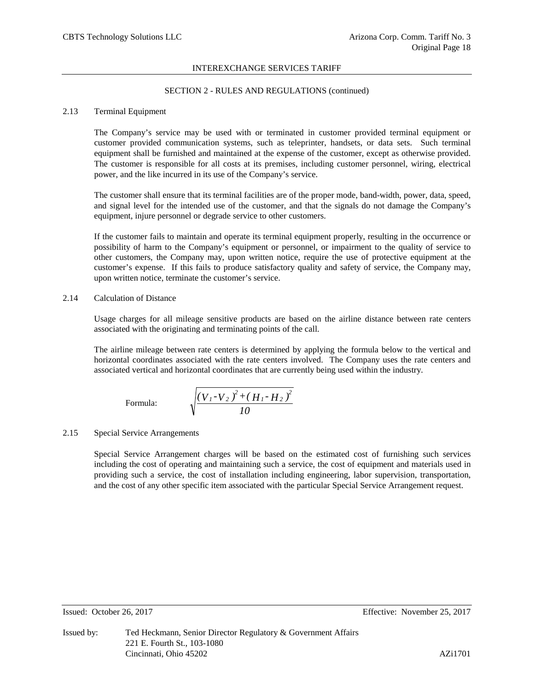## SECTION 2 - RULES AND REGULATIONS (continued)

## 2.13 Terminal Equipment

The Company's service may be used with or terminated in customer provided terminal equipment or customer provided communication systems, such as teleprinter, handsets, or data sets. Such terminal equipment shall be furnished and maintained at the expense of the customer, except as otherwise provided. The customer is responsible for all costs at its premises, including customer personnel, wiring, electrical power, and the like incurred in its use of the Company's service.

The customer shall ensure that its terminal facilities are of the proper mode, band-width, power, data, speed, and signal level for the intended use of the customer, and that the signals do not damage the Company's equipment, injure personnel or degrade service to other customers.

If the customer fails to maintain and operate its terminal equipment properly, resulting in the occurrence or possibility of harm to the Company's equipment or personnel, or impairment to the quality of service to other customers, the Company may, upon written notice, require the use of protective equipment at the customer's expense. If this fails to produce satisfactory quality and safety of service, the Company may, upon written notice, terminate the customer's service.

## 2.14 Calculation of Distance

Usage charges for all mileage sensitive products are based on the airline distance between rate centers associated with the originating and terminating points of the call.

The airline mileage between rate centers is determined by applying the formula below to the vertical and horizontal coordinates associated with the rate centers involved. The Company uses the rate centers and associated vertical and horizontal coordinates that are currently being used within the industry.

Formula: 
$$
\sqrt{\frac{(V_{1}-V_{2})^{2}+(H_{1}-H_{2})^{2}}{10}}
$$

## 2.15 Special Service Arrangements

Special Service Arrangement charges will be based on the estimated cost of furnishing such services including the cost of operating and maintaining such a service, the cost of equipment and materials used in providing such a service, the cost of installation including engineering, labor supervision, transportation, and the cost of any other specific item associated with the particular Special Service Arrangement request.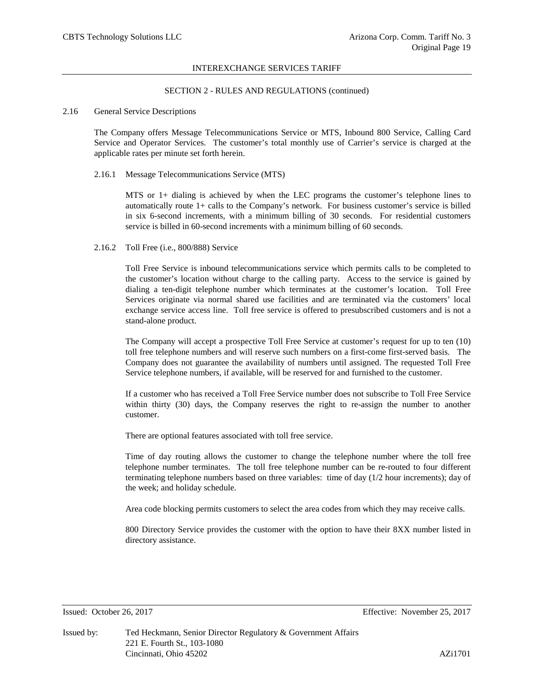#### SECTION 2 - RULES AND REGULATIONS (continued)

## 2.16 General Service Descriptions

The Company offers Message Telecommunications Service or MTS, Inbound 800 Service, Calling Card Service and Operator Services. The customer's total monthly use of Carrier's service is charged at the applicable rates per minute set forth herein.

#### 2.16.1 Message Telecommunications Service (MTS)

MTS or 1+ dialing is achieved by when the LEC programs the customer's telephone lines to automatically route 1+ calls to the Company's network. For business customer's service is billed in six 6-second increments, with a minimum billing of 30 seconds. For residential customers service is billed in 60-second increments with a minimum billing of 60 seconds.

#### 2.16.2 Toll Free (i.e., 800/888) Service

Toll Free Service is inbound telecommunications service which permits calls to be completed to the customer's location without charge to the calling party. Access to the service is gained by dialing a ten-digit telephone number which terminates at the customer's location. Toll Free Services originate via normal shared use facilities and are terminated via the customers' local exchange service access line. Toll free service is offered to presubscribed customers and is not a stand-alone product.

The Company will accept a prospective Toll Free Service at customer's request for up to ten (10) toll free telephone numbers and will reserve such numbers on a first-come first-served basis. The Company does not guarantee the availability of numbers until assigned. The requested Toll Free Service telephone numbers, if available, will be reserved for and furnished to the customer.

If a customer who has received a Toll Free Service number does not subscribe to Toll Free Service within thirty (30) days, the Company reserves the right to re-assign the number to another customer.

There are optional features associated with toll free service.

Time of day routing allows the customer to change the telephone number where the toll free telephone number terminates. The toll free telephone number can be re-routed to four different terminating telephone numbers based on three variables: time of day (1/2 hour increments); day of the week; and holiday schedule.

Area code blocking permits customers to select the area codes from which they may receive calls.

800 Directory Service provides the customer with the option to have their 8XX number listed in directory assistance.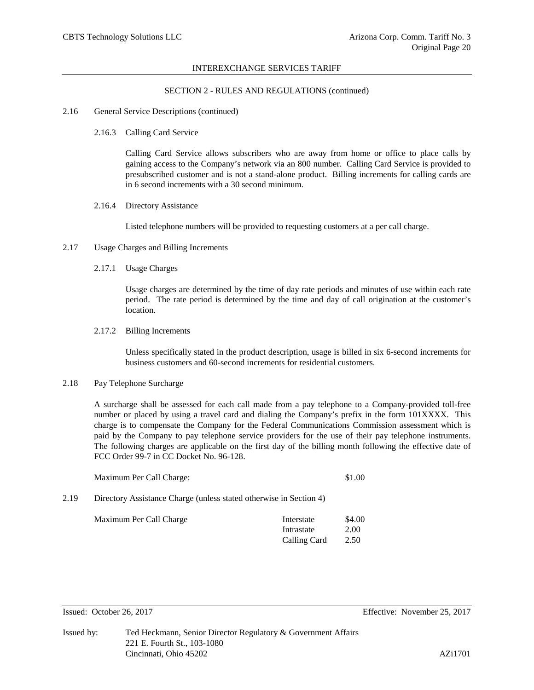#### SECTION 2 - RULES AND REGULATIONS (continued)

#### 2.16 General Service Descriptions (continued)

2.16.3 Calling Card Service

Calling Card Service allows subscribers who are away from home or office to place calls by gaining access to the Company's network via an 800 number. Calling Card Service is provided to presubscribed customer and is not a stand-alone product. Billing increments for calling cards are in 6 second increments with a 30 second minimum.

2.16.4 Directory Assistance

Listed telephone numbers will be provided to requesting customers at a per call charge.

- 2.17 Usage Charges and Billing Increments
	- 2.17.1 Usage Charges

Usage charges are determined by the time of day rate periods and minutes of use within each rate period. The rate period is determined by the time and day of call origination at the customer's location.

2.17.2 Billing Increments

Unless specifically stated in the product description, usage is billed in six 6-second increments for business customers and 60-second increments for residential customers.

## 2.18 Pay Telephone Surcharge

A surcharge shall be assessed for each call made from a pay telephone to a Company-provided toll-free number or placed by using a travel card and dialing the Company's prefix in the form 101XXXX. This charge is to compensate the Company for the Federal Communications Commission assessment which is paid by the Company to pay telephone service providers for the use of their pay telephone instruments. The following charges are applicable on the first day of the billing month following the effective date of FCC Order 99-7 in CC Docket No. 96-128.

| Maximum Per Call Charge: | \$1.00 |
|--------------------------|--------|
|                          |        |

2.19 Directory Assistance Charge (unless stated otherwise in Section 4)

| Maximum Per Call Charge | Interstate   | \$4.00 |
|-------------------------|--------------|--------|
|                         | Intrastate   | 2.00   |
|                         | Calling Card | 2.50   |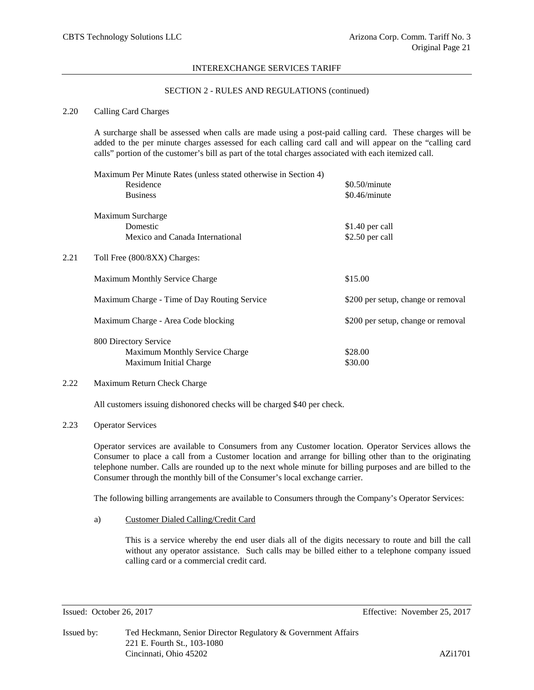## SECTION 2 - RULES AND REGULATIONS (continued)

## 2.20 Calling Card Charges

A surcharge shall be assessed when calls are made using a post-paid calling card. These charges will be added to the per minute charges assessed for each calling card call and will appear on the "calling card calls" portion of the customer's bill as part of the total charges associated with each itemized call.

|      | Maximum Per Minute Rates (unless stated otherwise in Section 4) |                                    |
|------|-----------------------------------------------------------------|------------------------------------|
|      | Residence                                                       | $$0.50/m$ inute                    |
|      | <b>Business</b>                                                 | \$0.46/minute                      |
|      | Maximum Surcharge                                               |                                    |
|      | Domestic                                                        | \$1.40 per call                    |
|      | Mexico and Canada International                                 | \$2.50 per call                    |
| 2.21 | Toll Free (800/8XX) Charges:                                    |                                    |
|      | <b>Maximum Monthly Service Charge</b>                           | \$15.00                            |
|      | Maximum Charge - Time of Day Routing Service                    | \$200 per setup, change or removal |
|      | Maximum Charge - Area Code blocking                             | \$200 per setup, change or removal |
|      | 800 Directory Service                                           |                                    |
|      | <b>Maximum Monthly Service Charge</b>                           | \$28.00                            |
|      | Maximum Initial Charge                                          | \$30.00                            |

# 2.22 Maximum Return Check Charge

All customers issuing dishonored checks will be charged \$40 per check.

#### 2.23 Operator Services

Operator services are available to Consumers from any Customer location. Operator Services allows the Consumer to place a call from a Customer location and arrange for billing other than to the originating telephone number. Calls are rounded up to the next whole minute for billing purposes and are billed to the Consumer through the monthly bill of the Consumer's local exchange carrier.

The following billing arrangements are available to Consumers through the Company's Operator Services:

a) Customer Dialed Calling/Credit Card

This is a service whereby the end user dials all of the digits necessary to route and bill the call without any operator assistance. Such calls may be billed either to a telephone company issued calling card or a commercial credit card.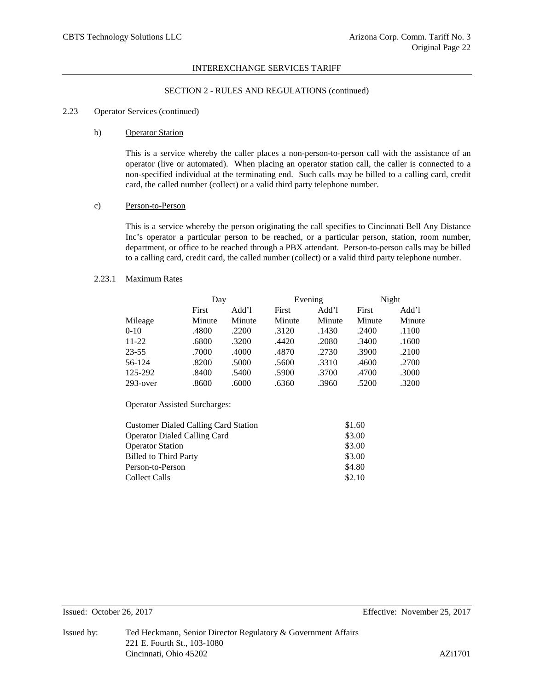## SECTION 2 - RULES AND REGULATIONS (continued)

#### 2.23 Operator Services (continued)

#### b) Operator Station

This is a service whereby the caller places a non-person-to-person call with the assistance of an operator (live or automated). When placing an operator station call, the caller is connected to a non-specified individual at the terminating end. Such calls may be billed to a calling card, credit card, the called number (collect) or a valid third party telephone number.

## c) Person-to-Person

This is a service whereby the person originating the call specifies to Cincinnati Bell Any Distance Inc's operator a particular person to be reached, or a particular person, station, room number, department, or office to be reached through a PBX attendant. Person-to-person calls may be billed to a calling card, credit card, the called number (collect) or a valid third party telephone number.

## 2.23.1 Maximum Rates

|             |        | Day    |        | Evening |        | Night  |  |
|-------------|--------|--------|--------|---------|--------|--------|--|
|             | First  | Add'l  | First  | Add'l   | First  | Add'l  |  |
| Mileage     | Minute | Minute | Minute | Minute  | Minute | Minute |  |
| $0 - 10$    | .4800  | .2200  | .3120  | .1430   | .2400  | .1100  |  |
| $11-22$     | .6800  | .3200  | .4420  | .2080   | .3400  | .1600  |  |
| 23-55       | .7000  | .4000  | .4870  | .2730   | .3900  | .2100  |  |
| 56-124      | .8200  | .5000  | .5600  | .3310   | .4600  | .2700  |  |
| 125-292     | .8400  | .5400  | .5900  | .3700   | .4700  | .3000  |  |
| $293$ -over | .8600  | .6000  | .6360  | .3960   | .5200  | .3200  |  |

Operator Assisted Surcharges:

| <b>Customer Dialed Calling Card Station</b> | \$1.60 |
|---------------------------------------------|--------|
| <b>Operator Dialed Calling Card</b>         | \$3.00 |
| <b>Operator Station</b>                     | \$3.00 |
| <b>Billed to Third Party</b>                | \$3.00 |
| Person-to-Person                            | \$4.80 |
| <b>Collect Calls</b>                        | \$2.10 |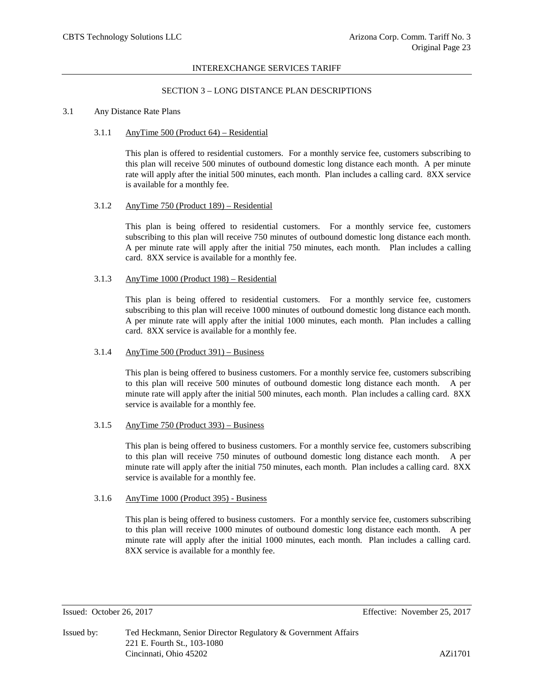## SECTION 3 – LONG DISTANCE PLAN DESCRIPTIONS

### 3.1 Any Distance Rate Plans

#### 3.1.1 AnyTime 500 (Product 64) – Residential

This plan is offered to residential customers. For a monthly service fee, customers subscribing to this plan will receive 500 minutes of outbound domestic long distance each month. A per minute rate will apply after the initial 500 minutes, each month. Plan includes a calling card. 8XX service is available for a monthly fee.

#### 3.1.2 AnyTime 750 (Product 189) – Residential

This plan is being offered to residential customers. For a monthly service fee, customers subscribing to this plan will receive 750 minutes of outbound domestic long distance each month. A per minute rate will apply after the initial 750 minutes, each month. Plan includes a calling card. 8XX service is available for a monthly fee.

### 3.1.3 AnyTime 1000 (Product 198) – Residential

This plan is being offered to residential customers. For a monthly service fee, customers subscribing to this plan will receive 1000 minutes of outbound domestic long distance each month. A per minute rate will apply after the initial 1000 minutes, each month. Plan includes a calling card. 8XX service is available for a monthly fee.

# 3.1.4 AnyTime 500 (Product 391) – Business

This plan is being offered to business customers. For a monthly service fee, customers subscribing to this plan will receive 500 minutes of outbound domestic long distance each month. A per minute rate will apply after the initial 500 minutes, each month. Plan includes a calling card. 8XX service is available for a monthly fee.

# 3.1.5 AnyTime 750 (Product 393) – Business

This plan is being offered to business customers. For a monthly service fee, customers subscribing to this plan will receive 750 minutes of outbound domestic long distance each month. A per minute rate will apply after the initial 750 minutes, each month. Plan includes a calling card. 8XX service is available for a monthly fee.

## 3.1.6 AnyTime 1000 (Product 395) - Business

This plan is being offered to business customers. For a monthly service fee, customers subscribing to this plan will receive 1000 minutes of outbound domestic long distance each month. A per minute rate will apply after the initial 1000 minutes, each month. Plan includes a calling card. 8XX service is available for a monthly fee.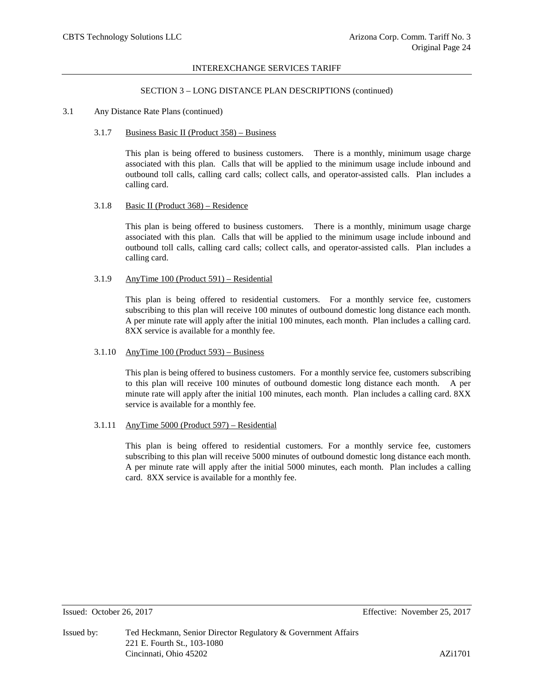## SECTION 3 – LONG DISTANCE PLAN DESCRIPTIONS (continued)

## 3.1 Any Distance Rate Plans (continued)

#### 3.1.7 Business Basic II (Product 358) – Business

This plan is being offered to business customers. There is a monthly, minimum usage charge associated with this plan. Calls that will be applied to the minimum usage include inbound and outbound toll calls, calling card calls; collect calls, and operator-assisted calls. Plan includes a calling card.

#### 3.1.8 Basic II (Product 368) – Residence

This plan is being offered to business customers. There is a monthly, minimum usage charge associated with this plan. Calls that will be applied to the minimum usage include inbound and outbound toll calls, calling card calls; collect calls, and operator-assisted calls. Plan includes a calling card.

### 3.1.9 AnyTime 100 (Product 591) – Residential

This plan is being offered to residential customers. For a monthly service fee, customers subscribing to this plan will receive 100 minutes of outbound domestic long distance each month. A per minute rate will apply after the initial 100 minutes, each month. Plan includes a calling card. 8XX service is available for a monthly fee.

# 3.1.10 AnyTime 100 (Product 593) – Business

This plan is being offered to business customers. For a monthly service fee, customers subscribing to this plan will receive 100 minutes of outbound domestic long distance each month. A per minute rate will apply after the initial 100 minutes, each month. Plan includes a calling card. 8XX service is available for a monthly fee.

# 3.1.11 AnyTime 5000 (Product 597) – Residential

This plan is being offered to residential customers. For a monthly service fee, customers subscribing to this plan will receive 5000 minutes of outbound domestic long distance each month. A per minute rate will apply after the initial 5000 minutes, each month. Plan includes a calling card. 8XX service is available for a monthly fee.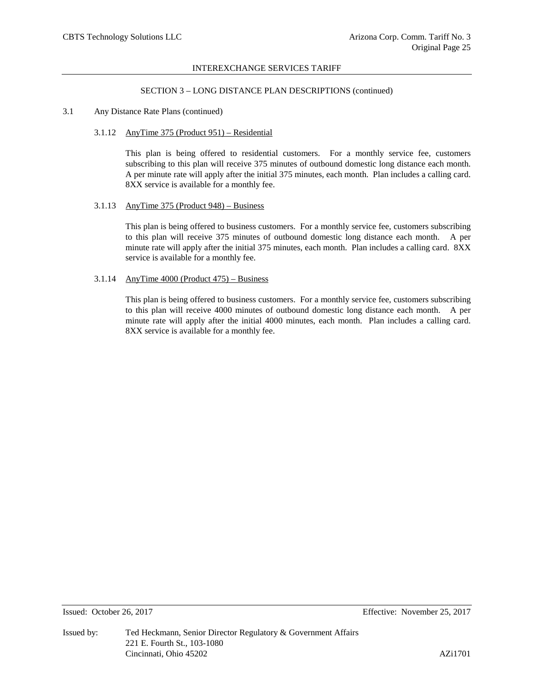## SECTION 3 – LONG DISTANCE PLAN DESCRIPTIONS (continued)

## 3.1 Any Distance Rate Plans (continued)

## 3.1.12 AnyTime 375 (Product 951) – Residential

This plan is being offered to residential customers. For a monthly service fee, customers subscribing to this plan will receive 375 minutes of outbound domestic long distance each month. A per minute rate will apply after the initial 375 minutes, each month. Plan includes a calling card. 8XX service is available for a monthly fee.

#### 3.1.13 AnyTime 375 (Product 948) – Business

This plan is being offered to business customers. For a monthly service fee, customers subscribing to this plan will receive 375 minutes of outbound domestic long distance each month. A per minute rate will apply after the initial 375 minutes, each month. Plan includes a calling card. 8XX service is available for a monthly fee.

## 3.1.14 AnyTime 4000 (Product 475) – Business

This plan is being offered to business customers. For a monthly service fee, customers subscribing to this plan will receive 4000 minutes of outbound domestic long distance each month. A per minute rate will apply after the initial 4000 minutes, each month. Plan includes a calling card. 8XX service is available for a monthly fee.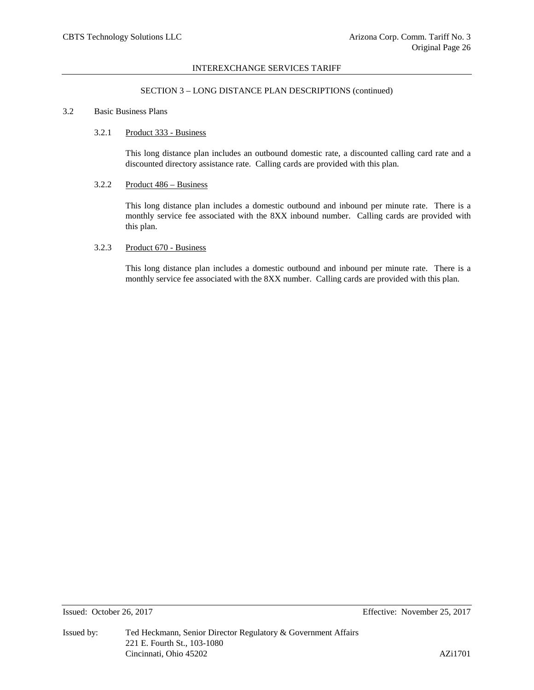## SECTION 3 – LONG DISTANCE PLAN DESCRIPTIONS (continued)

## 3.2 Basic Business Plans

## 3.2.1 Product 333 - Business

This long distance plan includes an outbound domestic rate, a discounted calling card rate and a discounted directory assistance rate. Calling cards are provided with this plan.

## 3.2.2 Product 486 – Business

This long distance plan includes a domestic outbound and inbound per minute rate. There is a monthly service fee associated with the 8XX inbound number. Calling cards are provided with this plan.

## 3.2.3 Product 670 - Business

This long distance plan includes a domestic outbound and inbound per minute rate. There is a monthly service fee associated with the 8XX number. Calling cards are provided with this plan.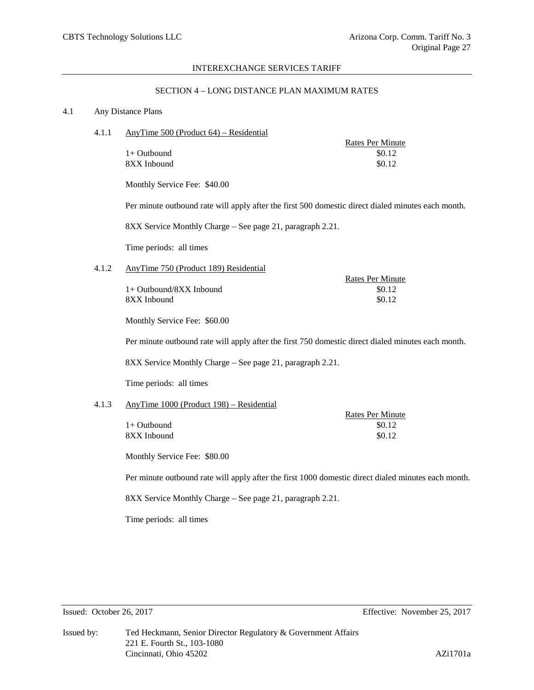Rates Per Minute

#### INTEREXCHANGE SERVICES TARIFF

## SECTION 4 – LONG DISTANCE PLAN MAXIMUM RATES

#### 4.1 Any Distance Plans

4.1.1 AnyTime 500 (Product 64) – Residential

|               | Rates Per Minute |
|---------------|------------------|
| $1+$ Outbound | \$0.12           |
| 8XX Inbound   | \$0.12           |

Monthly Service Fee: \$40.00

Per minute outbound rate will apply after the first 500 domestic direct dialed minutes each month.

8XX Service Monthly Charge – See page 21, paragraph 2.21.

Time periods: all times

## 4.1.2 AnyTime 750 (Product 189) Residential

 $1+$  Outbound/8XX Inbound  $$0.12$  $8XX$  Inbound  $$0.12$ 

Monthly Service Fee: \$60.00

Per minute outbound rate will apply after the first 750 domestic direct dialed minutes each month.

8XX Service Monthly Charge – See page 21, paragraph 2.21.

Time periods: all times

# 4.1.3 AnyTime 1000 (Product 198) – Residential

|             | Rates Per Minute |
|-------------|------------------|
| 1+ Outbound | \$0.12           |
| 8XX Inbound | \$0.12           |

Monthly Service Fee: \$80.00

Per minute outbound rate will apply after the first 1000 domestic direct dialed minutes each month.

8XX Service Monthly Charge – See page 21, paragraph 2.21.

Time periods: all times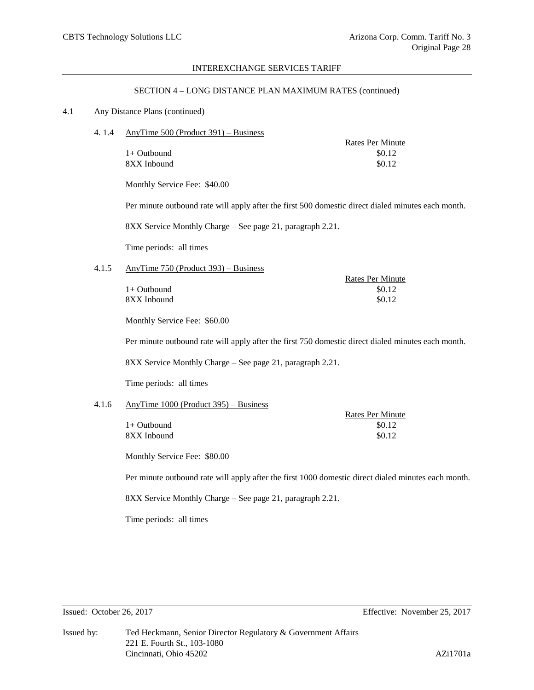Rates Per Minute

#### INTEREXCHANGE SERVICES TARIFF

#### SECTION 4 – LONG DISTANCE PLAN MAXIMUM RATES (continued)

#### 4.1 Any Distance Plans (continued)

4. 1.4 AnyTime 500 (Product 391) – Business

|               | Rates Per Minute |
|---------------|------------------|
| $1+$ Outbound | \$0.12           |
| 8XX Inbound   | \$0.12           |

Monthly Service Fee: \$40.00

Per minute outbound rate will apply after the first 500 domestic direct dialed minutes each month.

8XX Service Monthly Charge – See page 21, paragraph 2.21.

Time periods: all times

# 4.1.5 AnyTime 750 (Product 393) – Business

 $1+$  Outbound  $$0.12$  $8XX$  Inbound  $$0.12$ 

Monthly Service Fee: \$60.00

Per minute outbound rate will apply after the first 750 domestic direct dialed minutes each month.

8XX Service Monthly Charge – See page 21, paragraph 2.21.

Time periods: all times

## 4.1.6 AnyTime 1000 (Product 395) – Business

|             | <b>Rates Per Minute</b> |
|-------------|-------------------------|
| 1+ Outbound | \$0.12                  |
| 8XX Inbound | \$0.12                  |

Monthly Service Fee: \$80.00

Per minute outbound rate will apply after the first 1000 domestic direct dialed minutes each month.

8XX Service Monthly Charge – See page 21, paragraph 2.21.

Time periods: all times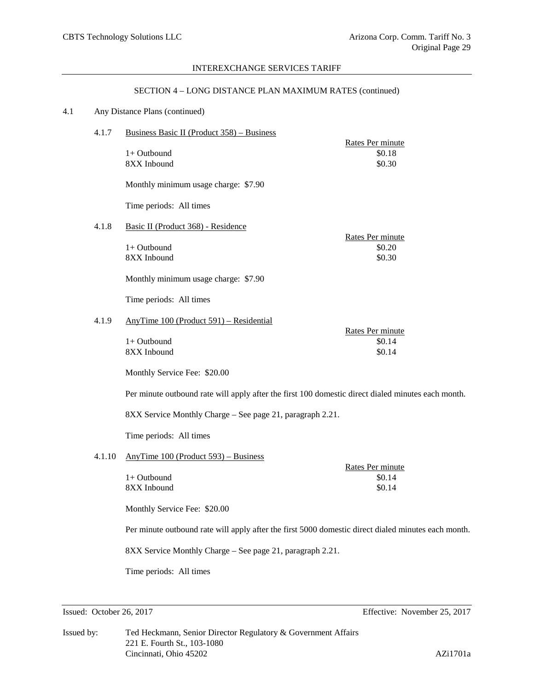## SECTION 4 – LONG DISTANCE PLAN MAXIMUM RATES (continued)

# 4.1 Any Distance Plans (continued)

| 4.1.7  | Business Basic II (Product 358) – Business                                                          |                                      |  |  |  |  |
|--------|-----------------------------------------------------------------------------------------------------|--------------------------------------|--|--|--|--|
|        | 1+ Outbound<br>8XX Inbound                                                                          | Rates Per minute<br>\$0.18<br>\$0.30 |  |  |  |  |
|        | Monthly minimum usage charge: \$7.90                                                                |                                      |  |  |  |  |
|        | Time periods: All times                                                                             |                                      |  |  |  |  |
| 4.1.8  | Basic II (Product 368) - Residence                                                                  |                                      |  |  |  |  |
|        | $1+$ Outbound<br>8XX Inbound                                                                        | Rates Per minute<br>\$0.20<br>\$0.30 |  |  |  |  |
|        | Monthly minimum usage charge: \$7.90                                                                |                                      |  |  |  |  |
|        | Time periods: All times                                                                             |                                      |  |  |  |  |
| 4.1.9  | AnyTime 100 (Product 591) – Residential                                                             |                                      |  |  |  |  |
|        | 1+ Outbound<br>8XX Inbound                                                                          | Rates Per minute<br>\$0.14<br>\$0.14 |  |  |  |  |
|        | Monthly Service Fee: \$20.00                                                                        |                                      |  |  |  |  |
|        | Per minute outbound rate will apply after the first 100 domestic direct dialed minutes each month.  |                                      |  |  |  |  |
|        | 8XX Service Monthly Charge - See page 21, paragraph 2.21.                                           |                                      |  |  |  |  |
|        | Time periods: All times                                                                             |                                      |  |  |  |  |
| 4.1.10 | AnyTime 100 (Product 593) – Business                                                                |                                      |  |  |  |  |
|        | 1+ Outbound<br>8XX Inbound                                                                          | Rates Per minute<br>\$0.14<br>\$0.14 |  |  |  |  |
|        | Monthly Service Fee: \$20.00                                                                        |                                      |  |  |  |  |
|        | Per minute outbound rate will apply after the first 5000 domestic direct dialed minutes each month. |                                      |  |  |  |  |
|        | 8XX Service Monthly Charge - See page 21, paragraph 2.21.                                           |                                      |  |  |  |  |
|        | Time periods: All times                                                                             |                                      |  |  |  |  |

Issued: October 26, 2017 Effective: November 25, 2017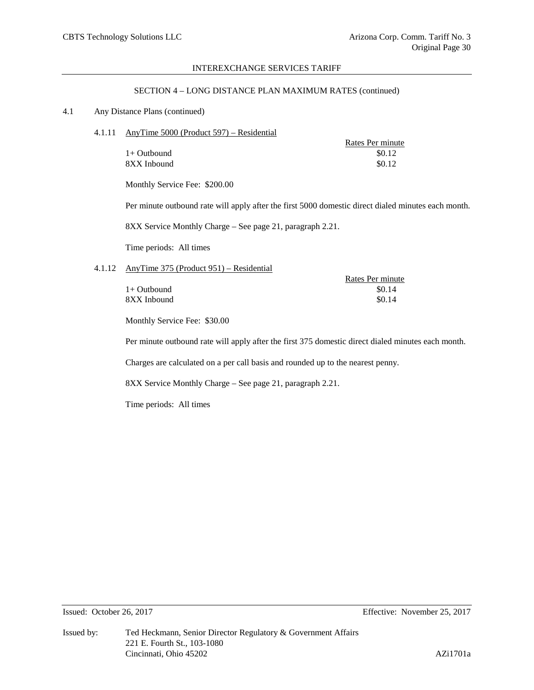#### SECTION 4 – LONG DISTANCE PLAN MAXIMUM RATES (continued)

# 4.1 Any Distance Plans (continued)

4.1.11 AnyTime 5000 (Product 597) – Residential

| Rates Per minute |
|------------------|
| \$0.12           |
| \$0.12           |
|                  |

Monthly Service Fee: \$200.00

Per minute outbound rate will apply after the first 5000 domestic direct dialed minutes each month.

Rates Per minute

8XX Service Monthly Charge – See page 21, paragraph 2.21.

Time periods: All times

## 4.1.12 AnyTime 375 (Product 951) – Residential

|               | Rates Per immute |
|---------------|------------------|
| $1+$ Outbound | \$0.14           |
| 8XX Inbound   | \$0.14           |
|               |                  |

Monthly Service Fee: \$30.00

Per minute outbound rate will apply after the first 375 domestic direct dialed minutes each month.

Charges are calculated on a per call basis and rounded up to the nearest penny.

8XX Service Monthly Charge – See page 21, paragraph 2.21.

Time periods: All times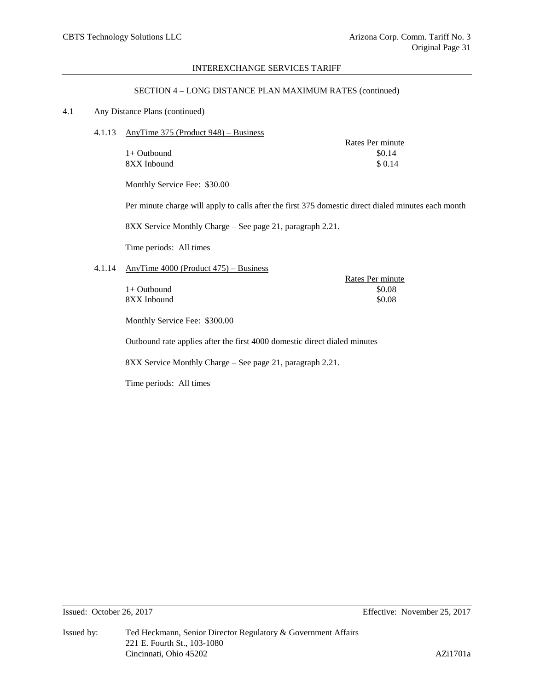## SECTION 4 – LONG DISTANCE PLAN MAXIMUM RATES (continued)

## 4.1 Any Distance Plans (continued)

4.1.13 AnyTime 375 (Product 948) – Business

|               | Rates Per minute |
|---------------|------------------|
| $1+$ Outbound | \$0.14           |
| 8XX Inbound   | \$ 0.14          |

Monthly Service Fee: \$30.00

Per minute charge will apply to calls after the first 375 domestic direct dialed minutes each month

8XX Service Monthly Charge – See page 21, paragraph 2.21.

Time periods: All times

# 4.1.14 AnyTime 4000 (Product 475) – Business

|               | Rates Per minute |
|---------------|------------------|
| $1+$ Outbound | \$0.08           |
| 8XX Inbound   | \$0.08           |
|               |                  |

Monthly Service Fee: \$300.00

Outbound rate applies after the first 4000 domestic direct dialed minutes

8XX Service Monthly Charge – See page 21, paragraph 2.21.

Time periods: All times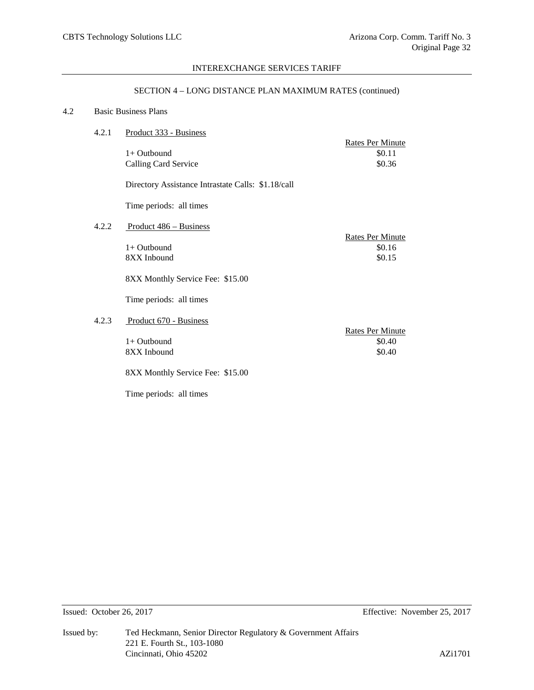## SECTION 4 – LONG DISTANCE PLAN MAXIMUM RATES (continued)

## 4.2 Basic Business Plans

| 4.2.1 | Product 333 - Business                             |                                      |
|-------|----------------------------------------------------|--------------------------------------|
|       | $1+$ Outbound<br>Calling Card Service              | Rates Per Minute<br>\$0.11<br>\$0.36 |
|       | Directory Assistance Intrastate Calls: \$1.18/call |                                      |
|       | Time periods: all times                            |                                      |
| 4.2.2 | Product 486 – Business                             | Rates Per Minute                     |
|       | $1+$ Outbound<br>8XX Inbound                       | \$0.16<br>\$0.15                     |
|       | 8XX Monthly Service Fee: \$15.00                   |                                      |
|       | Time periods: all times                            |                                      |
| 4.2.3 | Product 670 - Business                             | <b>Rates Per Minute</b>              |
|       | $1+$ Outbound<br>8XX Inbound                       | \$0.40<br>\$0.40                     |
|       | 8XX Monthly Service Fee: \$15.00                   |                                      |
|       | Time periods: all times                            |                                      |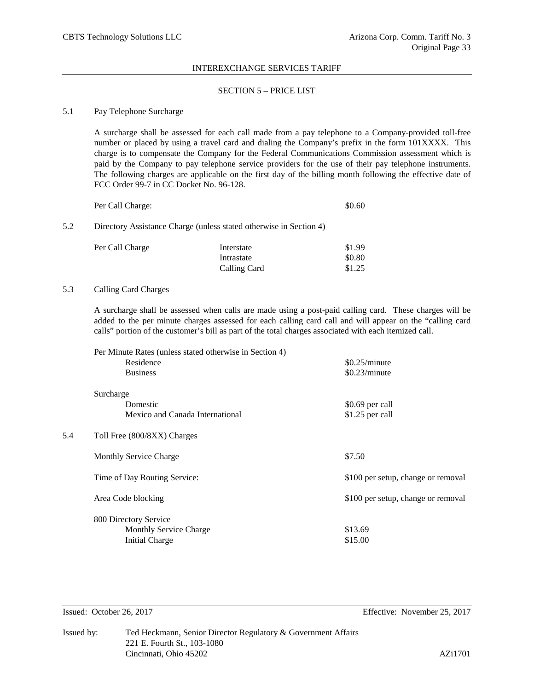### SECTION 5 – PRICE LIST

### 5.1 Pay Telephone Surcharge

A surcharge shall be assessed for each call made from a pay telephone to a Company-provided toll-free number or placed by using a travel card and dialing the Company's prefix in the form 101XXXX. This charge is to compensate the Company for the Federal Communications Commission assessment which is paid by the Company to pay telephone service providers for the use of their pay telephone instruments. The following charges are applicable on the first day of the billing month following the effective date of FCC Order 99-7 in CC Docket No. 96-128.

| Per Call Charge: | \$0.60 |
|------------------|--------|
|------------------|--------|

# 5.2 Directory Assistance Charge (unless stated otherwise in Section 4)

| Per Call Charge | Interstate   | \$1.99 |
|-----------------|--------------|--------|
|                 | Intrastate   | \$0.80 |
|                 | Calling Card | \$1.25 |

## 5.3 Calling Card Charges

A surcharge shall be assessed when calls are made using a post-paid calling card. These charges will be added to the per minute charges assessed for each calling card call and will appear on the "calling card calls" portion of the customer's bill as part of the total charges associated with each itemized call.

|     | Per Minute Rates (unless stated otherwise in Section 4) |                                    |
|-----|---------------------------------------------------------|------------------------------------|
|     | Residence                                               | \$0.25/minute                      |
|     | <b>Business</b>                                         | \$0.23/minute                      |
|     | Surcharge                                               |                                    |
|     | Domestic                                                | \$0.69 per call                    |
|     | Mexico and Canada International                         | \$1.25 per call                    |
| 5.4 | Toll Free (800/8XX) Charges                             |                                    |
|     | <b>Monthly Service Charge</b>                           | \$7.50                             |
|     | Time of Day Routing Service:                            | \$100 per setup, change or removal |
|     | Area Code blocking                                      | \$100 per setup, change or removal |
|     | 800 Directory Service                                   |                                    |
|     | <b>Monthly Service Charge</b>                           | \$13.69                            |
|     | <b>Initial Charge</b>                                   | \$15.00                            |
|     |                                                         |                                    |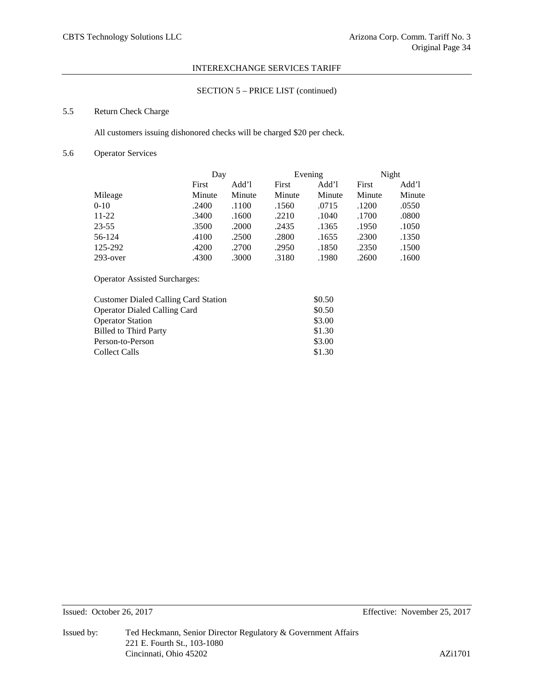# SECTION 5 – PRICE LIST (continued)

# 5.5 Return Check Charge

All customers issuing dishonored checks will be charged \$20 per check.

# 5.6 Operator Services

|             | Day    |        | Evening |        | Night  |        |
|-------------|--------|--------|---------|--------|--------|--------|
|             | First  | Add'l  | First   | Add'l  | First  | Add'l  |
| Mileage     | Minute | Minute | Minute  | Minute | Minute | Minute |
| $0 - 10$    | .2400  | .1100  | .1560   | .0715  | .1200  | .0550  |
| $11-22$     | .3400  | .1600  | .2210   | .1040  | .1700  | .0800  |
| 23-55       | .3500  | .2000  | .2435   | .1365  | .1950  | .1050  |
| 56-124      | .4100  | .2500  | .2800   | .1655  | .2300  | .1350  |
| 125-292     | .4200  | .2700  | .2950   | .1850  | .2350  | .1500  |
| $293$ -over | .4300  | .3000  | .3180   | .1980  | .2600  | .1600  |

Operator Assisted Surcharges:

| <b>Customer Dialed Calling Card Station</b> | \$0.50 |
|---------------------------------------------|--------|
| <b>Operator Dialed Calling Card</b>         | \$0.50 |
| <b>Operator Station</b>                     | \$3.00 |
| <b>Billed to Third Party</b>                | \$1.30 |
| Person-to-Person                            | \$3.00 |
| <b>Collect Calls</b>                        | \$1.30 |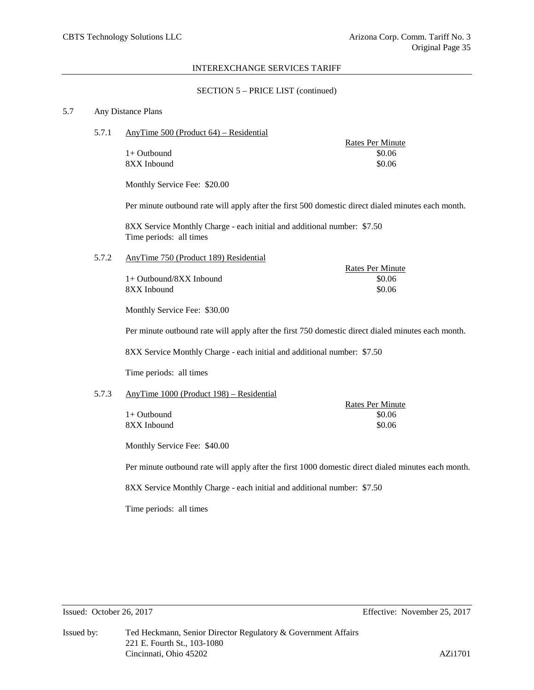## SECTION 5 – PRICE LIST (continued)

### 5.7 Any Distance Plans

5.7.1 AnyTime 500 (Product 64) – Residential

 $1+$  Outbound  $$0.06$ 8XX Inbound \$0.06

Rates Per Minute

Rates Per Minute

Monthly Service Fee: \$20.00

Per minute outbound rate will apply after the first 500 domestic direct dialed minutes each month.

8XX Service Monthly Charge - each initial and additional number: \$7.50 Time periods: all times

5.7.2 AnyTime 750 (Product 189) Residential

1+ Outbound/8XX Inbound \$0.06 8XX Inbound \$0.06

Monthly Service Fee: \$30.00

Per minute outbound rate will apply after the first 750 domestic direct dialed minutes each month.

8XX Service Monthly Charge - each initial and additional number: \$7.50

Time periods: all times

#### 5.7.3 AnyTime 1000 (Product 198) – Residential

 $1+$  Outbound 8XX Inbound

| Rates Per Minute |
|------------------|
| \$0.06           |
| \$0.06           |

Monthly Service Fee: \$40.00

Per minute outbound rate will apply after the first 1000 domestic direct dialed minutes each month.

8XX Service Monthly Charge - each initial and additional number: \$7.50

Time periods: all times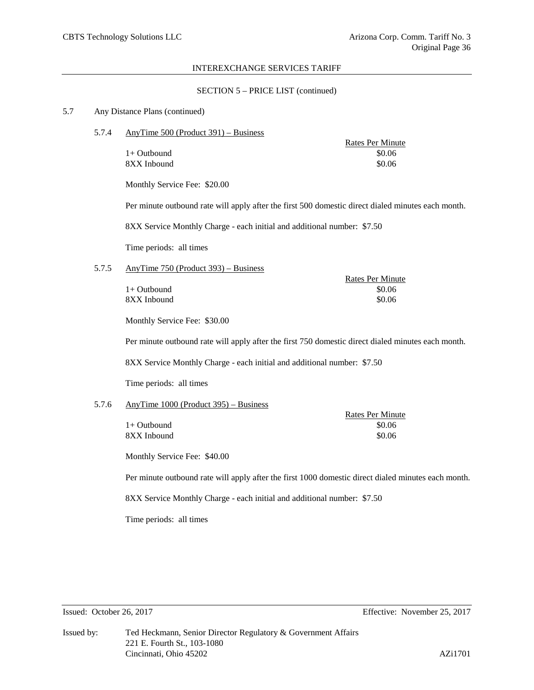#### SECTION 5 – PRICE LIST (continued)

#### 5.7 Any Distance Plans (continued)

5.7.4 AnyTime 500 (Product 391) – Business

8XX Inbound \$0.06

Rates Per Minute  $1+$  Outbound  $$0.06$ 

Rates Per Minute

Monthly Service Fee: \$20.00

Per minute outbound rate will apply after the first 500 domestic direct dialed minutes each month.

8XX Service Monthly Charge - each initial and additional number: \$7.50

Time periods: all times

## 5.7.5 AnyTime 750 (Product 393) – Business

 $1+$  Outbound  $$0.06$ 8XX Inbound \$0.06

Monthly Service Fee: \$30.00

Per minute outbound rate will apply after the first 750 domestic direct dialed minutes each month.

8XX Service Monthly Charge - each initial and additional number: \$7.50

Time periods: all times

## 5.7.6 AnyTime 1000 (Product 395) – Business

|             | <b>Rates Per Minute</b> |
|-------------|-------------------------|
| 1+ Outbound | \$0.06                  |
| 8XX Inbound | \$0.06                  |

Monthly Service Fee: \$40.00

Per minute outbound rate will apply after the first 1000 domestic direct dialed minutes each month.

8XX Service Monthly Charge - each initial and additional number: \$7.50

Time periods: all times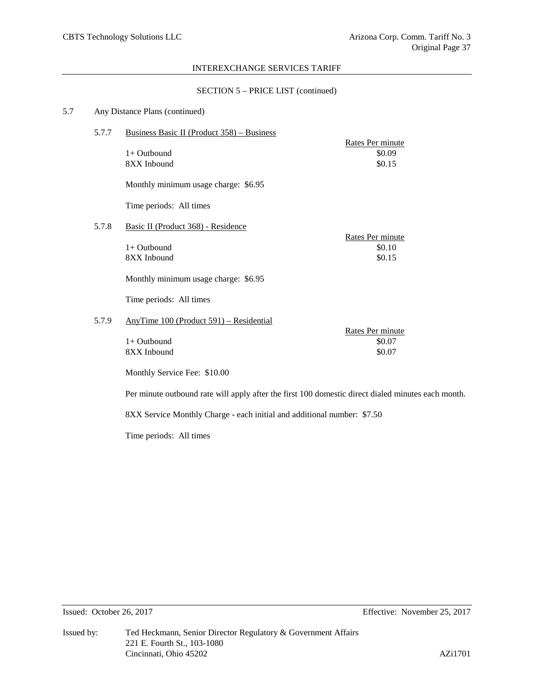## SECTION 5 – PRICE LIST (continued)

# 5.7 Any Distance Plans (continued)

| 5.7.7 | Business Basic II (Product 358) – Business                                                         |                            |  |
|-------|----------------------------------------------------------------------------------------------------|----------------------------|--|
|       |                                                                                                    | Rates Per minute           |  |
|       | $1+$ Outbound<br>8XX Inbound                                                                       | \$0.09<br>\$0.15           |  |
|       |                                                                                                    |                            |  |
|       | Monthly minimum usage charge: \$6.95                                                               |                            |  |
|       | Time periods: All times                                                                            |                            |  |
| 5.7.8 | Basic II (Product 368) - Residence                                                                 |                            |  |
|       | $1+$ Outbound                                                                                      | Rates Per minute<br>\$0.10 |  |
|       | 8XX Inbound                                                                                        | \$0.15                     |  |
|       |                                                                                                    |                            |  |
|       | Monthly minimum usage charge: \$6.95                                                               |                            |  |
|       | Time periods: All times                                                                            |                            |  |
| 5.7.9 | AnyTime 100 (Product 591) – Residential                                                            |                            |  |
|       | 1+ Outbound                                                                                        | Rates Per minute<br>\$0.07 |  |
|       | 8XX Inbound                                                                                        | \$0.07                     |  |
|       |                                                                                                    |                            |  |
|       | Monthly Service Fee: \$10.00                                                                       |                            |  |
|       | Per minute outbound rate will apply after the first 100 domestic direct dialed minutes each month. |                            |  |
|       | 8XX Service Monthly Charge - each initial and additional number: \$7.50                            |                            |  |

Time periods: All times

Issued: October 26, 2017 Effective: November 25, 2017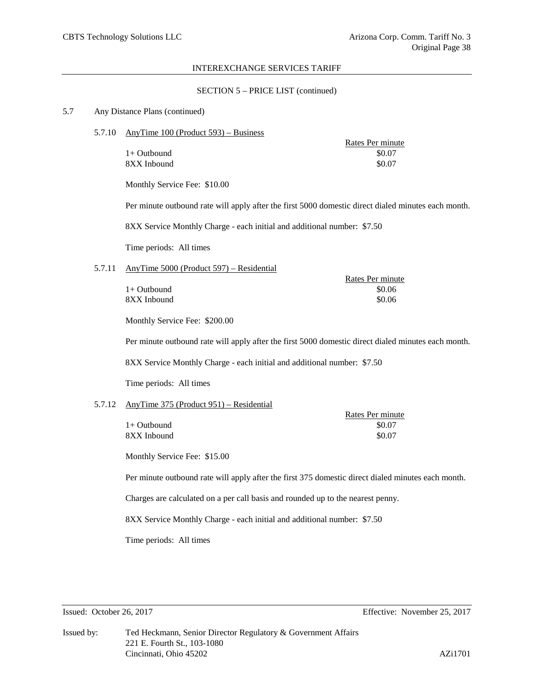Rates Per minute

#### INTEREXCHANGE SERVICES TARIFF

#### SECTION 5 – PRICE LIST (continued)

#### 5.7 Any Distance Plans (continued)

 $1+$  Outbound

5.7.10 AnyTime 100 (Product 593) – Business

Rates Per minute<br>\$0.07 8XX Inbound \$0.07

Monthly Service Fee: \$10.00

Per minute outbound rate will apply after the first 5000 domestic direct dialed minutes each month.

8XX Service Monthly Charge - each initial and additional number: \$7.50

Time periods: All times

## 5.7.11 AnyTime 5000 (Product 597) – Residential

| 1+ Outbound | \$0.06 |
|-------------|--------|
| 8XX Inbound | \$0.06 |

Monthly Service Fee: \$200.00

Per minute outbound rate will apply after the first 5000 domestic direct dialed minutes each month.

8XX Service Monthly Charge - each initial and additional number: \$7.50

Time periods: All times

## 5.7.12 AnyTime 375 (Product 951) – Residential

|             | Rates Per minute |
|-------------|------------------|
| 1+ Outbound | \$0.07           |
| 8XX Inbound | \$0.07           |

Monthly Service Fee: \$15.00

Per minute outbound rate will apply after the first 375 domestic direct dialed minutes each month.

Charges are calculated on a per call basis and rounded up to the nearest penny.

8XX Service Monthly Charge - each initial and additional number: \$7.50

Time periods: All times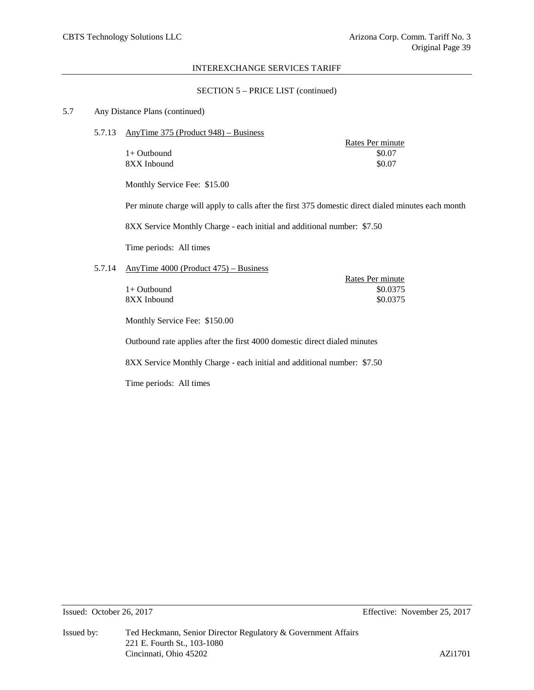## SECTION 5 – PRICE LIST (continued)

## 5.7 Any Distance Plans (continued)

 $1+$  Outbound 8XX Inbound

5.7.13 AnyTime 375 (Product 948) – Business

| Rates Per minute |
|------------------|
| \$0.07           |
| \$0.07           |

Monthly Service Fee: \$15.00

Per minute charge will apply to calls after the first 375 domestic direct dialed minutes each month

Rates Per minute

8XX Service Monthly Charge - each initial and additional number: \$7.50

Time periods: All times

# 5.7.14 AnyTime 4000 (Product 475) – Business

|               | Rates Per minute |
|---------------|------------------|
| $1+$ Outbound | \$0.0375         |
| 8XX Inbound   | \$0.0375         |

Monthly Service Fee: \$150.00

Outbound rate applies after the first 4000 domestic direct dialed minutes

8XX Service Monthly Charge - each initial and additional number: \$7.50

Time periods: All times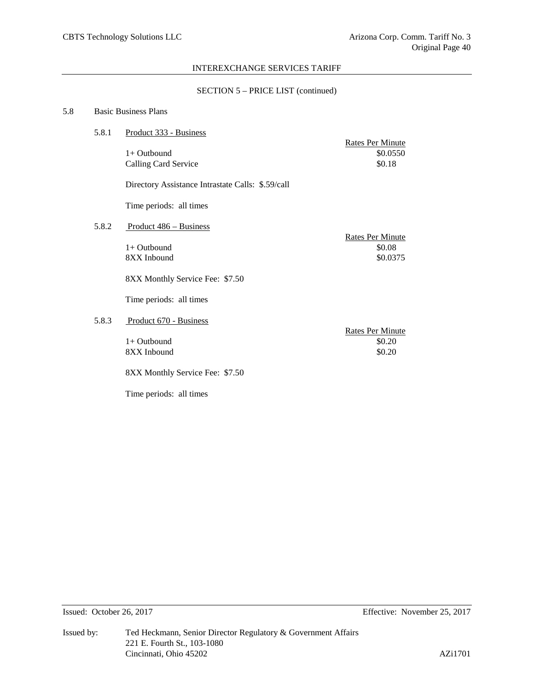## SECTION 5 – PRICE LIST (continued)

# 5.8 Basic Business Plans

| 5.8.1 | Product 333 - Business                            |                                             |  |
|-------|---------------------------------------------------|---------------------------------------------|--|
|       | $1+$ Outbound<br>Calling Card Service             | Rates Per Minute<br>\$0.0550<br>\$0.18      |  |
|       | Directory Assistance Intrastate Calls: \$.59/call |                                             |  |
|       | Time periods: all times                           |                                             |  |
| 5.8.2 | Product 486 – Business                            |                                             |  |
|       | $1+$ Outbound<br>8XX Inbound                      | Rates Per Minute<br>\$0.08<br>\$0.0375      |  |
|       | 8XX Monthly Service Fee: \$7.50                   |                                             |  |
|       | Time periods: all times                           |                                             |  |
| 5.8.3 | Product 670 - Business                            |                                             |  |
|       | $1+$ Outbound<br>8XX Inbound                      | <b>Rates Per Minute</b><br>\$0.20<br>\$0.20 |  |
|       | 8XX Monthly Service Fee: \$7.50                   |                                             |  |
|       | Time periods: all times                           |                                             |  |